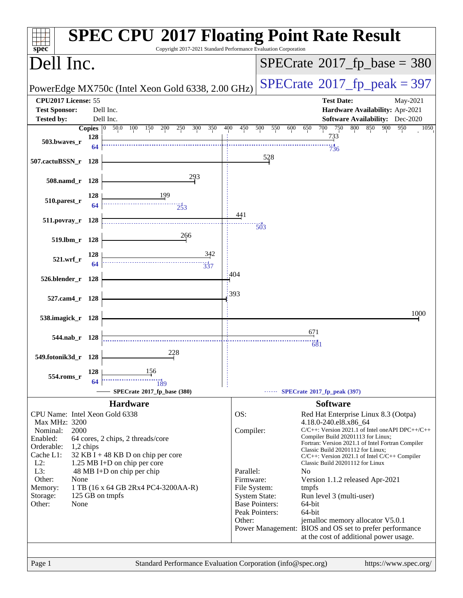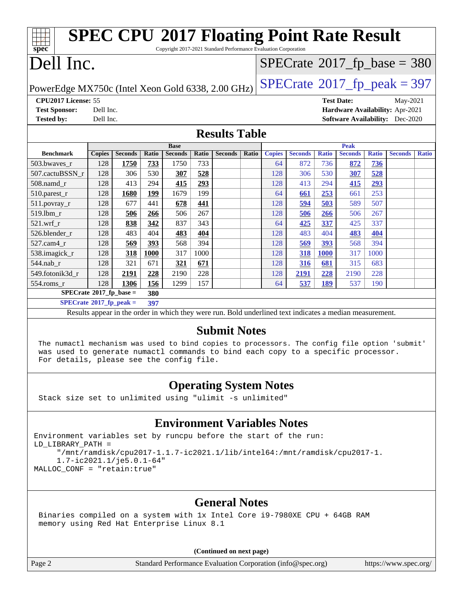| <b>SPEC CPU®2017 Floating Point Rate Result</b><br>Copyright 2017-2021 Standard Performance Evaluation Corporation<br>$spec^*$ |                                                                                                          |                |       |                |               |                |                |               |                |              |                                            |              |                                        |              |
|--------------------------------------------------------------------------------------------------------------------------------|----------------------------------------------------------------------------------------------------------|----------------|-------|----------------|---------------|----------------|----------------|---------------|----------------|--------------|--------------------------------------------|--------------|----------------------------------------|--------------|
| Dell Inc.                                                                                                                      |                                                                                                          |                |       |                |               |                |                |               |                |              | $SPECTate$ <sup>®</sup> 2017_fp_base = 380 |              |                                        |              |
| $SPECTate@2017_fp\_peak = 397$<br>PowerEdge MX750c (Intel Xeon Gold 6338, 2.00 GHz)                                            |                                                                                                          |                |       |                |               |                |                |               |                |              |                                            |              |                                        |              |
| CPU2017 License: 55<br><b>Test Date:</b><br>May-2021                                                                           |                                                                                                          |                |       |                |               |                |                |               |                |              |                                            |              |                                        |              |
| <b>Test Sponsor:</b>                                                                                                           | Dell Inc.                                                                                                |                |       |                |               |                |                |               |                |              |                                            |              | Hardware Availability: Apr-2021        |              |
| <b>Tested by:</b>                                                                                                              | Dell Inc.                                                                                                |                |       |                |               |                |                |               |                |              |                                            |              | <b>Software Availability:</b> Dec-2020 |              |
| <b>Results Table</b>                                                                                                           |                                                                                                          |                |       |                |               |                |                |               |                |              |                                            |              |                                        |              |
|                                                                                                                                |                                                                                                          |                |       | <b>Base</b>    |               |                |                |               |                |              | <b>Peak</b>                                |              |                                        |              |
| <b>Benchmark</b>                                                                                                               | <b>Copies</b>                                                                                            | <b>Seconds</b> | Ratio | <b>Seconds</b> | Ratio         | <b>Seconds</b> | Ratio          | <b>Copies</b> | <b>Seconds</b> | <b>Ratio</b> | <b>Seconds</b>                             | <b>Ratio</b> | <b>Seconds</b>                         | <b>Ratio</b> |
| 503.bwaves_r                                                                                                                   | 128                                                                                                      | 1750           | 733   | 1750           | 733           |                |                | 64            | 872            | 736          | 872                                        | 736          |                                        |              |
| 507.cactuBSSN r                                                                                                                | 128                                                                                                      | 306            | 530   | 307            | 528           |                |                | 128           | 306            | 530          | 307                                        | 528          |                                        |              |
| 508.namd_r                                                                                                                     | 128                                                                                                      | 413            | 294   | 415            | 293           |                |                | 128           | 413            | 294          | 415                                        | 293          |                                        |              |
| 510.parest_r                                                                                                                   | 128                                                                                                      | 1680           | 199   | 1679           | 199           |                |                | 64            | 661            | 253          | 661                                        | 253          |                                        |              |
| 511.povray_r                                                                                                                   | 128                                                                                                      | 677            | 441   | 678            | 441           |                |                | 128           | 594            | 503          | 589                                        | 507          |                                        |              |
| 519.1bm_r                                                                                                                      | 128                                                                                                      | 506            | 266   | 506            | 267           |                |                | 128           | 506            | 266          | 506                                        | 267          |                                        |              |
| 521.wrf r                                                                                                                      | 128                                                                                                      | 838            | 342   | 837            | 343           |                |                | 64            | 425            | 337          | 425                                        | 337          |                                        |              |
| 526.blender_r                                                                                                                  | 128                                                                                                      | 483            | 404   | 483            | 404           |                |                | 128           | 483            | 404          | 483                                        | 404          |                                        |              |
| 527.cam4_r                                                                                                                     | 128                                                                                                      | 569            | 393   | 568            | 394           |                |                | 128           | 569            | 393          | 568                                        | 394          |                                        |              |
| 538.imagick_r                                                                                                                  | 128                                                                                                      | 318            | 1000  | 317            | 1000          |                |                | 128           | 318            | <b>1000</b>  | 317                                        | 1000         |                                        |              |
| 544.nab r                                                                                                                      | 128                                                                                                      | 321            | 671   | 321            | 671           |                |                | 128           | 316            | 681          | 315                                        | 683          |                                        |              |
| 549.fotonik3d r                                                                                                                | 128                                                                                                      | 2191           | 228   | 2190           | 228           |                |                | 128           | 2191           | 228          | 2190                                       | 228          |                                        |              |
| 554.roms_r                                                                                                                     | 128                                                                                                      | 1306           | 156   | 1299           | 157           |                |                | 64            | 537            | 189          | 537                                        | 190          |                                        |              |
| $SPECrate^*2017_fp\_base =$                                                                                                    |                                                                                                          |                | 380   |                |               |                |                |               |                |              |                                            |              |                                        |              |
| $SPECrate^{\circ}2017$ _fp_peak =<br>397                                                                                       |                                                                                                          |                |       |                |               |                |                |               |                |              |                                            |              |                                        |              |
|                                                                                                                                | Results appear in the order in which they were run. Bold underlined text indicates a median measurement. |                |       |                |               |                |                |               |                |              |                                            |              |                                        |              |
|                                                                                                                                |                                                                                                          |                |       |                | $\sim$ $\sim$ |                | $\bullet$ . TT |               |                |              |                                            |              |                                        |              |

## **[Submit Notes](http://www.spec.org/auto/cpu2017/Docs/result-fields.html#SubmitNotes)**

 The numactl mechanism was used to bind copies to processors. The config file option 'submit' was used to generate numactl commands to bind each copy to a specific processor. For details, please see the config file.

## **[Operating System Notes](http://www.spec.org/auto/cpu2017/Docs/result-fields.html#OperatingSystemNotes)**

Stack size set to unlimited using "ulimit -s unlimited"

## **[Environment Variables Notes](http://www.spec.org/auto/cpu2017/Docs/result-fields.html#EnvironmentVariablesNotes)**

Environment variables set by runcpu before the start of the run: LD\_LIBRARY\_PATH = "/mnt/ramdisk/cpu2017-1.1.7-ic2021.1/lib/intel64:/mnt/ramdisk/cpu2017-1. 1.7-ic2021.1/je5.0.1-64" MALLOC\_CONF = "retain:true"

## **[General Notes](http://www.spec.org/auto/cpu2017/Docs/result-fields.html#GeneralNotes)**

 Binaries compiled on a system with 1x Intel Core i9-7980XE CPU + 64GB RAM memory using Red Hat Enterprise Linux 8.1

**(Continued on next page)**

Page 2 Standard Performance Evaluation Corporation [\(info@spec.org\)](mailto:info@spec.org) <https://www.spec.org/>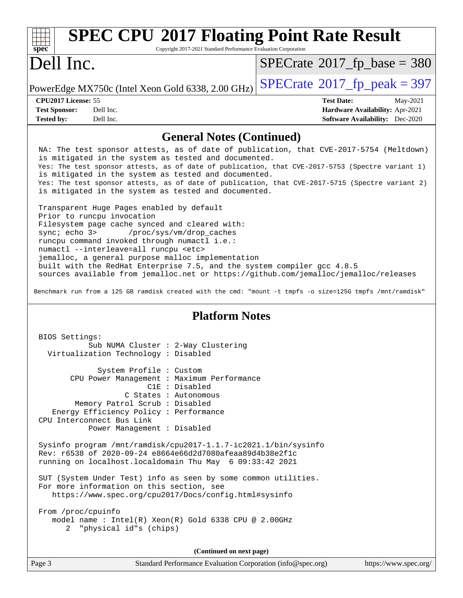| $Spec^*$             | <b>SPEC CPU®2017 Floating Point Rate Result</b><br>Copyright 2017-2021 Standard Performance Evaluation Corporation |                                            |                                        |
|----------------------|--------------------------------------------------------------------------------------------------------------------|--------------------------------------------|----------------------------------------|
| Dell Inc.            |                                                                                                                    | $SPECrate^{\circ}2017$ _fp_base = 380      |                                        |
|                      | PowerEdge MX750c (Intel Xeon Gold 6338, 2.00 GHz)                                                                  | $SPECTate$ <sup>®</sup> 2017_fp_peak = 397 |                                        |
| CPU2017 License: 55  |                                                                                                                    | <b>Test Date:</b>                          | May-2021                               |
| <b>Test Sponsor:</b> | Dell Inc.                                                                                                          |                                            | <b>Hardware Availability: Apr-2021</b> |
| <b>Tested by:</b>    | Dell Inc.                                                                                                          |                                            | <b>Software Availability:</b> Dec-2020 |

## **[General Notes \(Continued\)](http://www.spec.org/auto/cpu2017/Docs/result-fields.html#GeneralNotes)**

 NA: The test sponsor attests, as of date of publication, that CVE-2017-5754 (Meltdown) is mitigated in the system as tested and documented. Yes: The test sponsor attests, as of date of publication, that CVE-2017-5753 (Spectre variant 1) is mitigated in the system as tested and documented. Yes: The test sponsor attests, as of date of publication, that CVE-2017-5715 (Spectre variant 2) is mitigated in the system as tested and documented.

 Transparent Huge Pages enabled by default Prior to runcpu invocation Filesystem page cache synced and cleared with: sync; echo 3> /proc/sys/vm/drop\_caches runcpu command invoked through numactl i.e.: numactl --interleave=all runcpu <etc> jemalloc, a general purpose malloc implementation built with the RedHat Enterprise 7.5, and the system compiler gcc 4.8.5 sources available from jemalloc.net or<https://github.com/jemalloc/jemalloc/releases>

Benchmark run from a 125 GB ramdisk created with the cmd: "mount -t tmpfs -o size=125G tmpfs /mnt/ramdisk"

## **[Platform Notes](http://www.spec.org/auto/cpu2017/Docs/result-fields.html#PlatformNotes)**

| BIOS Settings:                                                                                                                                                                                                                                                                                                                                                                         |  |  |  |  |
|----------------------------------------------------------------------------------------------------------------------------------------------------------------------------------------------------------------------------------------------------------------------------------------------------------------------------------------------------------------------------------------|--|--|--|--|
| Sub NUMA Cluster : 2-Way Clustering                                                                                                                                                                                                                                                                                                                                                    |  |  |  |  |
| Virtualization Technology: Disabled                                                                                                                                                                                                                                                                                                                                                    |  |  |  |  |
|                                                                                                                                                                                                                                                                                                                                                                                        |  |  |  |  |
| System Profile : Custom                                                                                                                                                                                                                                                                                                                                                                |  |  |  |  |
| CPU Power Management : Maximum Performance                                                                                                                                                                                                                                                                                                                                             |  |  |  |  |
| C1E : Disabled                                                                                                                                                                                                                                                                                                                                                                         |  |  |  |  |
| C States : Autonomous                                                                                                                                                                                                                                                                                                                                                                  |  |  |  |  |
| Memory Patrol Scrub: Disabled                                                                                                                                                                                                                                                                                                                                                          |  |  |  |  |
| Energy Efficiency Policy : Performance                                                                                                                                                                                                                                                                                                                                                 |  |  |  |  |
| CPU Interconnect Bus Link                                                                                                                                                                                                                                                                                                                                                              |  |  |  |  |
| Power Management : Disabled                                                                                                                                                                                                                                                                                                                                                            |  |  |  |  |
| Sysinfo program /mnt/ramdisk/cpu2017-1.1.7-ic2021.1/bin/sysinfo<br>Rev: r6538 of 2020-09-24 e8664e66d2d7080afeaa89d4b38e2f1c<br>running on localhost.localdomain Thu May 6 09:33:42 2021<br>SUT (System Under Test) info as seen by some common utilities.<br>For more information on this section, see<br>https://www.spec.org/cpu2017/Docs/config.html#sysinfo<br>From /proc/cpuinfo |  |  |  |  |
| model name : Intel(R) $Xeon(R)$ Gold 6338 CPU @ 2.00GHz<br>2 "physical id"s (chips)                                                                                                                                                                                                                                                                                                    |  |  |  |  |
| (Continued on next page)                                                                                                                                                                                                                                                                                                                                                               |  |  |  |  |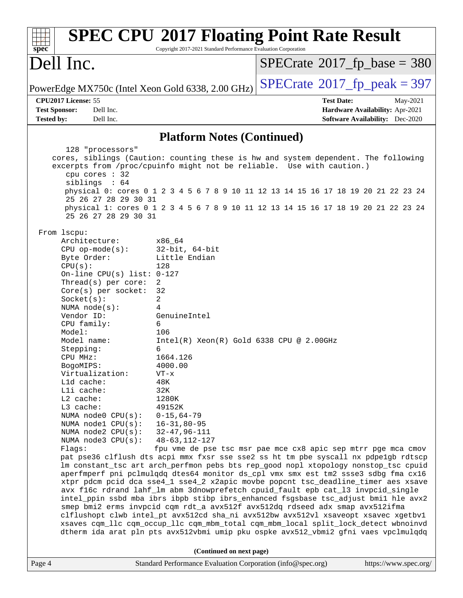| spec <sup>®</sup>                         |                                                                                                                                                                                                                                                                                                                                                                                                                                                              | Copyright 2017-2021 Standard Performance Evaluation Corporation                                                                                                                                                                                                                                                             | <b>SPEC CPU®2017 Floating Point Rate Result</b>                                                                                                                                                                                                                                                                                                                                                                                                                                                                                                                                                                                                                                                                                                                                                                                                                                                                                                      |
|-------------------------------------------|--------------------------------------------------------------------------------------------------------------------------------------------------------------------------------------------------------------------------------------------------------------------------------------------------------------------------------------------------------------------------------------------------------------------------------------------------------------|-----------------------------------------------------------------------------------------------------------------------------------------------------------------------------------------------------------------------------------------------------------------------------------------------------------------------------|------------------------------------------------------------------------------------------------------------------------------------------------------------------------------------------------------------------------------------------------------------------------------------------------------------------------------------------------------------------------------------------------------------------------------------------------------------------------------------------------------------------------------------------------------------------------------------------------------------------------------------------------------------------------------------------------------------------------------------------------------------------------------------------------------------------------------------------------------------------------------------------------------------------------------------------------------|
| Dell Inc.                                 |                                                                                                                                                                                                                                                                                                                                                                                                                                                              |                                                                                                                                                                                                                                                                                                                             | $SPECrate^{\circ}2017$ fp base = 380                                                                                                                                                                                                                                                                                                                                                                                                                                                                                                                                                                                                                                                                                                                                                                                                                                                                                                                 |
|                                           |                                                                                                                                                                                                                                                                                                                                                                                                                                                              | PowerEdge MX750c (Intel Xeon Gold 6338, 2.00 GHz)                                                                                                                                                                                                                                                                           | $SPECTate@2017_fp\_peak = 397$                                                                                                                                                                                                                                                                                                                                                                                                                                                                                                                                                                                                                                                                                                                                                                                                                                                                                                                       |
| CPU2017 License: 55                       |                                                                                                                                                                                                                                                                                                                                                                                                                                                              |                                                                                                                                                                                                                                                                                                                             | <b>Test Date:</b><br>May-2021                                                                                                                                                                                                                                                                                                                                                                                                                                                                                                                                                                                                                                                                                                                                                                                                                                                                                                                        |
| <b>Test Sponsor:</b><br><b>Tested by:</b> | Dell Inc.<br>Dell Inc.                                                                                                                                                                                                                                                                                                                                                                                                                                       |                                                                                                                                                                                                                                                                                                                             | Hardware Availability: Apr-2021<br><b>Software Availability:</b> Dec-2020                                                                                                                                                                                                                                                                                                                                                                                                                                                                                                                                                                                                                                                                                                                                                                                                                                                                            |
|                                           |                                                                                                                                                                                                                                                                                                                                                                                                                                                              | <b>Platform Notes (Continued)</b>                                                                                                                                                                                                                                                                                           |                                                                                                                                                                                                                                                                                                                                                                                                                                                                                                                                                                                                                                                                                                                                                                                                                                                                                                                                                      |
|                                           | 128 "processors"<br>cpu cores : 32<br>siblings : 64<br>25 26 27 28 29 30 31<br>25 26 27 28 29 30 31                                                                                                                                                                                                                                                                                                                                                          |                                                                                                                                                                                                                                                                                                                             | cores, siblings (Caution: counting these is hw and system dependent. The following<br>excerpts from /proc/cpuinfo might not be reliable. Use with caution.)<br>physical 0: cores 0 1 2 3 4 5 6 7 8 9 10 11 12 13 14 15 16 17 18 19 20 21 22 23 24<br>physical 1: cores 0 1 2 3 4 5 6 7 8 9 10 11 12 13 14 15 16 17 18 19 20 21 22 23 24                                                                                                                                                                                                                                                                                                                                                                                                                                                                                                                                                                                                              |
| From 1scpu:                               | Architecture:<br>$CPU op-mode(s):$<br>Byte Order:<br>CPU(s):<br>On-line CPU(s) list: $0-127$<br>Thread(s) per core:<br>Core(s) per socket:<br>Socket(s):<br>NUMA $node(s):$<br>Vendor ID:<br>CPU family:<br>Model:<br>Model name:<br>Stepping:<br>CPU MHz:<br>BogoMIPS:<br>Virtualization:<br>L1d cache:<br>Lli cache:<br>$L2$ cache:<br>L3 cache:<br>NUMA node0 CPU(s):<br>NUMA nodel CPU(s):<br>NUMA $node2$ $CPU(s):$<br>NUMA $node3$ $CPU(s):$<br>Flags: | x86_64<br>$32$ -bit, $64$ -bit<br>Little Endian<br>128<br>2<br>32<br>2<br>4<br>GenuineIntel<br>6<br>106<br>$Intel(R)$ Xeon $(R)$ Gold 6338 CPU @ 2.00GHz<br>6<br>1664.126<br>4000.00<br>$VT - x$<br>48K<br>32K<br>1280K<br>49152K<br>$0 - 15, 64 - 79$<br>$16 - 31, 80 - 95$<br>$32 - 47, 96 - 111$<br>$48 - 63, 112 - 127$ | fpu vme de pse tsc msr pae mce cx8 apic sep mtrr pge mca cmov<br>pat pse36 clflush dts acpi mmx fxsr sse sse2 ss ht tm pbe syscall nx pdpelgb rdtscp<br>lm constant_tsc art arch_perfmon pebs bts rep_good nopl xtopology nonstop_tsc cpuid<br>aperfmperf pni pclmulqdq dtes64 monitor ds_cpl vmx smx est tm2 ssse3 sdbg fma cx16<br>xtpr pdcm pcid dca sse4_1 sse4_2 x2apic movbe popcnt tsc_deadline_timer aes xsave<br>avx f16c rdrand lahf_lm abm 3dnowprefetch cpuid_fault epb cat_13 invpcid_single<br>intel_ppin ssbd mba ibrs ibpb stibp ibrs_enhanced fsgsbase tsc_adjust bmil hle avx2<br>smep bmi2 erms invpcid cqm rdt_a avx512f avx512dq rdseed adx smap avx512ifma<br>clflushopt clwb intel_pt avx512cd sha_ni avx512bw avx512vl xsaveopt xsavec xgetbvl<br>xsaves cqm_llc cqm_occup_llc cqm_mbm_total cqm_mbm_local split_lock_detect wbnoinvd<br>dtherm ida arat pln pts avx512vbmi umip pku ospke avx512_vbmi2 gfni vaes vpclmulqdq |
|                                           |                                                                                                                                                                                                                                                                                                                                                                                                                                                              | (Continued on next page)                                                                                                                                                                                                                                                                                                    |                                                                                                                                                                                                                                                                                                                                                                                                                                                                                                                                                                                                                                                                                                                                                                                                                                                                                                                                                      |
| Page 4                                    |                                                                                                                                                                                                                                                                                                                                                                                                                                                              | Standard Performance Evaluation Corporation (info@spec.org)                                                                                                                                                                                                                                                                 | https://www.spec.org/                                                                                                                                                                                                                                                                                                                                                                                                                                                                                                                                                                                                                                                                                                                                                                                                                                                                                                                                |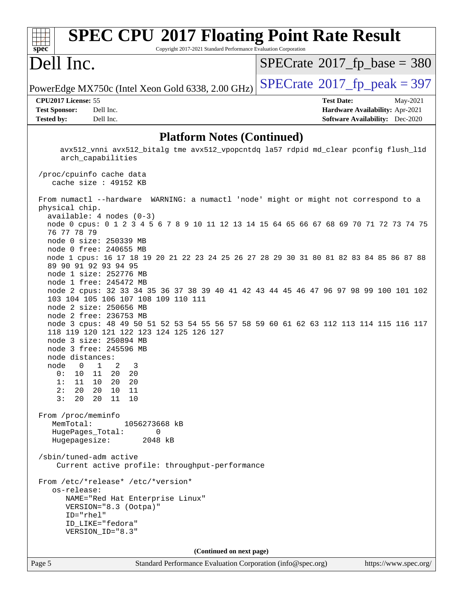# **[SPEC CPU](http://www.spec.org/auto/cpu2017/Docs/result-fields.html#SPECCPU2017FloatingPointRateResult)[2017 Floating Point Rate Result](http://www.spec.org/auto/cpu2017/Docs/result-fields.html#SPECCPU2017FloatingPointRateResult)** Copyright 2017-2021 Standard Performance Evaluation Corporation

# Dell Inc.

**[spec](http://www.spec.org/)**

ti h

 $SPECTate$ <sup>®</sup>[2017\\_fp\\_base =](http://www.spec.org/auto/cpu2017/Docs/result-fields.html#SPECrate2017fpbase) 380

PowerEdge MX750c (Intel Xeon Gold 6338, 2.00 GHz)  $\left|$  [SPECrate](http://www.spec.org/auto/cpu2017/Docs/result-fields.html#SPECrate2017fppeak)<sup>®</sup>[2017\\_fp\\_peak = 3](http://www.spec.org/auto/cpu2017/Docs/result-fields.html#SPECrate2017fppeak)97

**[Tested by:](http://www.spec.org/auto/cpu2017/Docs/result-fields.html#Testedby)** Dell Inc. **[Software Availability:](http://www.spec.org/auto/cpu2017/Docs/result-fields.html#SoftwareAvailability)** Dec-2020

**[CPU2017 License:](http://www.spec.org/auto/cpu2017/Docs/result-fields.html#CPU2017License)** 55 **[Test Date:](http://www.spec.org/auto/cpu2017/Docs/result-fields.html#TestDate)** May-2021 **[Test Sponsor:](http://www.spec.org/auto/cpu2017/Docs/result-fields.html#TestSponsor)** Dell Inc. **[Hardware Availability:](http://www.spec.org/auto/cpu2017/Docs/result-fields.html#HardwareAvailability)** Apr-2021

## **[Platform Notes \(Continued\)](http://www.spec.org/auto/cpu2017/Docs/result-fields.html#PlatformNotes)**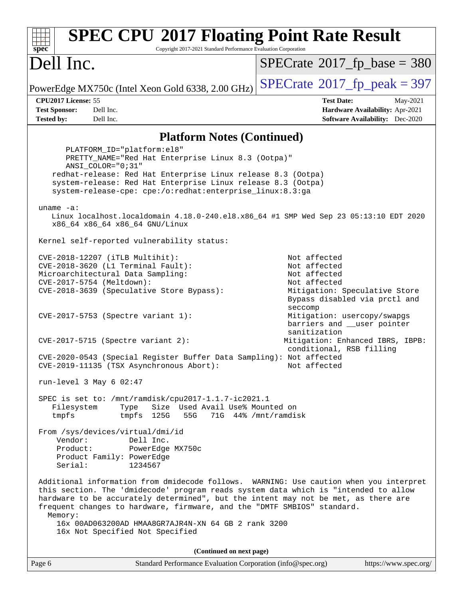| spec <sup>®</sup>                                                                                                                                                                                                                                                                                                                                                                                                                                   | <b>SPEC CPU®2017 Floating Point Rate Result</b><br>Copyright 2017-2021 Standard Performance Evaluation Corporation                                                                                                                                                                                        |                                                                                                                                                            |  |
|-----------------------------------------------------------------------------------------------------------------------------------------------------------------------------------------------------------------------------------------------------------------------------------------------------------------------------------------------------------------------------------------------------------------------------------------------------|-----------------------------------------------------------------------------------------------------------------------------------------------------------------------------------------------------------------------------------------------------------------------------------------------------------|------------------------------------------------------------------------------------------------------------------------------------------------------------|--|
| Dell Inc.                                                                                                                                                                                                                                                                                                                                                                                                                                           |                                                                                                                                                                                                                                                                                                           | $SPECrate^{\circ}2017$ _fp_base = 380                                                                                                                      |  |
|                                                                                                                                                                                                                                                                                                                                                                                                                                                     | PowerEdge MX750c (Intel Xeon Gold 6338, 2.00 GHz)                                                                                                                                                                                                                                                         | $SPECTate@2017_fp\_peak = 397$                                                                                                                             |  |
| CPU2017 License: 55                                                                                                                                                                                                                                                                                                                                                                                                                                 |                                                                                                                                                                                                                                                                                                           | <b>Test Date:</b><br>May-2021                                                                                                                              |  |
| <b>Test Sponsor:</b>                                                                                                                                                                                                                                                                                                                                                                                                                                | Dell Inc.                                                                                                                                                                                                                                                                                                 | Hardware Availability: Apr-2021                                                                                                                            |  |
| <b>Tested by:</b>                                                                                                                                                                                                                                                                                                                                                                                                                                   | Dell Inc.                                                                                                                                                                                                                                                                                                 | <b>Software Availability:</b> Dec-2020                                                                                                                     |  |
|                                                                                                                                                                                                                                                                                                                                                                                                                                                     | <b>Platform Notes (Continued)</b>                                                                                                                                                                                                                                                                         |                                                                                                                                                            |  |
|                                                                                                                                                                                                                                                                                                                                                                                                                                                     | PLATFORM_ID="platform:el8"<br>PRETTY_NAME="Red Hat Enterprise Linux 8.3 (Ootpa)"<br>$ANSI$ _COLOR=" $0:31$ "<br>redhat-release: Red Hat Enterprise Linux release 8.3 (Ootpa)<br>system-release: Red Hat Enterprise Linux release 8.3 (Ootpa)<br>system-release-cpe: cpe:/o:redhat:enterprise_linux:8.3:ga |                                                                                                                                                            |  |
| uname $-a$ :                                                                                                                                                                                                                                                                                                                                                                                                                                        | x86_64 x86_64 x86_64 GNU/Linux                                                                                                                                                                                                                                                                            | Linux localhost.localdomain 4.18.0-240.el8.x86_64 #1 SMP Wed Sep 23 05:13:10 EDT 2020                                                                      |  |
|                                                                                                                                                                                                                                                                                                                                                                                                                                                     | Kernel self-reported vulnerability status:                                                                                                                                                                                                                                                                |                                                                                                                                                            |  |
|                                                                                                                                                                                                                                                                                                                                                                                                                                                     | CVE-2018-12207 (iTLB Multihit):<br>CVE-2018-3620 (L1 Terminal Fault):<br>Microarchitectural Data Sampling:<br>CVE-2017-5754 (Meltdown):<br>CVE-2018-3639 (Speculative Store Bypass):                                                                                                                      | Not affected<br>Not affected<br>Not affected<br>Not affected<br>Mitigation: Speculative Store<br>Bypass disabled via prctl and<br>seccomp                  |  |
|                                                                                                                                                                                                                                                                                                                                                                                                                                                     | CVE-2017-5753 (Spectre variant 1):<br>$CVE-2017-5715$ (Spectre variant 2):<br>CVE-2020-0543 (Special Register Buffer Data Sampling): Not affected<br>CVE-2019-11135 (TSX Asynchronous Abort):                                                                                                             | Mitigation: usercopy/swapgs<br>barriers and __user pointer<br>sanitization<br>Mitigation: Enhanced IBRS, IBPB:<br>conditional, RSB filling<br>Not affected |  |
|                                                                                                                                                                                                                                                                                                                                                                                                                                                     |                                                                                                                                                                                                                                                                                                           |                                                                                                                                                            |  |
| Filesystem<br>tmpfs                                                                                                                                                                                                                                                                                                                                                                                                                                 | run-level 3 May $6$ 02:47<br>SPEC is set to: /mnt/ramdisk/cpu2017-1.1.7-ic2021.1<br>Type<br>Size Used Avail Use% Mounted on<br>125G<br>55G<br>tmpfs                                                                                                                                                       | 71G 44% / mnt/ramdisk                                                                                                                                      |  |
| Vendor:<br>Product:<br>Serial:                                                                                                                                                                                                                                                                                                                                                                                                                      | From /sys/devices/virtual/dmi/id<br>Dell Inc.<br>PowerEdge MX750c<br>Product Family: PowerEdge<br>1234567                                                                                                                                                                                                 |                                                                                                                                                            |  |
| Additional information from dmidecode follows. WARNING: Use caution when you interpret<br>this section. The 'dmidecode' program reads system data which is "intended to allow<br>hardware to be accurately determined", but the intent may not be met, as there are<br>frequent changes to hardware, firmware, and the "DMTF SMBIOS" standard.<br>Memory:<br>16x 00AD063200AD HMAA8GR7AJR4N-XN 64 GB 2 rank 3200<br>16x Not Specified Not Specified |                                                                                                                                                                                                                                                                                                           |                                                                                                                                                            |  |
|                                                                                                                                                                                                                                                                                                                                                                                                                                                     | (Continued on next page)                                                                                                                                                                                                                                                                                  |                                                                                                                                                            |  |
| Page 6                                                                                                                                                                                                                                                                                                                                                                                                                                              | Standard Performance Evaluation Corporation (info@spec.org)                                                                                                                                                                                                                                               | https://www.spec.org/                                                                                                                                      |  |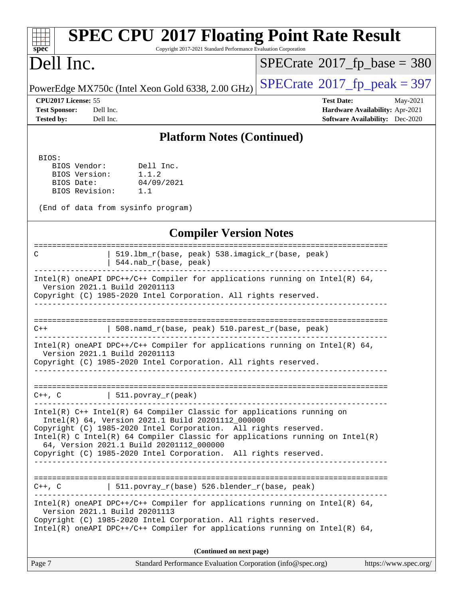| <b>SPEC CPU®2017 Floating Point Rate Result</b><br>Copyright 2017-2021 Standard Performance Evaluation Corporation<br>spec <sup>®</sup>                                                                                                                                                                                                                                                        |                                                                  |  |  |
|------------------------------------------------------------------------------------------------------------------------------------------------------------------------------------------------------------------------------------------------------------------------------------------------------------------------------------------------------------------------------------------------|------------------------------------------------------------------|--|--|
| Dell Inc.                                                                                                                                                                                                                                                                                                                                                                                      | $SPECrate$ <sup>®</sup> 2017_fp_base = 380                       |  |  |
| PowerEdge MX750c (Intel Xeon Gold 6338, 2.00 GHz)                                                                                                                                                                                                                                                                                                                                              | $SPECrate^{\circ}2017$ _fp_peak = 397                            |  |  |
| CPU2017 License: 55<br><b>Test Sponsor:</b><br>Dell Inc.                                                                                                                                                                                                                                                                                                                                       | <b>Test Date:</b><br>May-2021<br>Hardware Availability: Apr-2021 |  |  |
| <b>Tested by:</b><br>Dell Inc.                                                                                                                                                                                                                                                                                                                                                                 | <b>Software Availability:</b> Dec-2020                           |  |  |
| <b>Platform Notes (Continued)</b>                                                                                                                                                                                                                                                                                                                                                              |                                                                  |  |  |
| BIOS:<br>Dell Inc.<br>BIOS Vendor:<br>1.1.2<br>BIOS Version:<br>04/09/2021<br>BIOS Date:<br>BIOS Revision:<br>1.1<br>(End of data from sysinfo program)                                                                                                                                                                                                                                        |                                                                  |  |  |
| <b>Compiler Version Notes</b>                                                                                                                                                                                                                                                                                                                                                                  |                                                                  |  |  |
| 519.1bm_r(base, peak) 538.imagick_r(base, peak)<br>C<br>544.nab_r(base, peak)                                                                                                                                                                                                                                                                                                                  |                                                                  |  |  |
| Intel(R) oneAPI DPC++/C++ Compiler for applications running on Intel(R) $64$ ,<br>Version 2021.1 Build 20201113<br>Copyright (C) 1985-2020 Intel Corporation. All rights reserved.                                                                                                                                                                                                             |                                                                  |  |  |
| 508.namd_r(base, peak) 510.parest_r(base, peak)<br>$C++$                                                                                                                                                                                                                                                                                                                                       |                                                                  |  |  |
| Intel(R) oneAPI DPC++/C++ Compiler for applications running on Intel(R) $64$ ,<br>Version 2021.1 Build 20201113<br>Copyright (C) 1985-2020 Intel Corporation. All rights reserved.                                                                                                                                                                                                             |                                                                  |  |  |
| $C++$ , $C$   511.povray_r(peak)<br>. <u>.</u>                                                                                                                                                                                                                                                                                                                                                 |                                                                  |  |  |
| $Intel(R)$ C++ Intel(R) 64 Compiler Classic for applications running on<br>Intel(R) 64, Version 2021.1 Build 20201112 000000<br>Copyright (C) 1985-2020 Intel Corporation. All rights reserved.<br>Intel(R) C Intel(R) 64 Compiler Classic for applications running on Intel(R)<br>64, Version 2021.1 Build 20201112_000000<br>Copyright (C) 1985-2020 Intel Corporation. All rights reserved. |                                                                  |  |  |
| $C++$ , C $\qquad \qquad$ 511.povray_r(base) 526.blender_r(base, peak)                                                                                                                                                                                                                                                                                                                         |                                                                  |  |  |
| $Intel(R)$ oneAPI DPC++/C++ Compiler for applications running on Intel(R) 64,<br>Version 2021.1 Build 20201113<br>Copyright (C) 1985-2020 Intel Corporation. All rights reserved.<br>$Intel(R)$ oneAPI DPC++/C++ Compiler for applications running on Intel(R) 64,                                                                                                                             |                                                                  |  |  |
| (Continued on next page)                                                                                                                                                                                                                                                                                                                                                                       |                                                                  |  |  |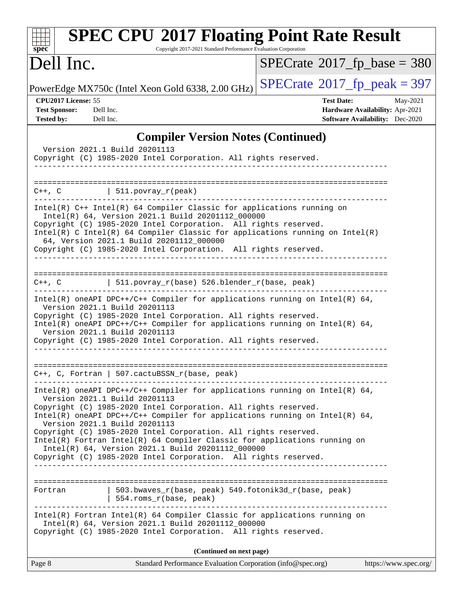| <b>SPEC CPU®2017 Floating Point Rate Result</b><br>Copyright 2017-2021 Standard Performance Evaluation Corporation<br>$spec^*$                                                                                                                                                                                                                                                                                                                                                                                                                                |                                                                                                            |
|---------------------------------------------------------------------------------------------------------------------------------------------------------------------------------------------------------------------------------------------------------------------------------------------------------------------------------------------------------------------------------------------------------------------------------------------------------------------------------------------------------------------------------------------------------------|------------------------------------------------------------------------------------------------------------|
| Dell Inc.                                                                                                                                                                                                                                                                                                                                                                                                                                                                                                                                                     | $SPECrate^{\circ}2017$ fp base = 380                                                                       |
| PowerEdge MX750c (Intel Xeon Gold 6338, 2.00 GHz)                                                                                                                                                                                                                                                                                                                                                                                                                                                                                                             | $SPECTate$ <sup>®</sup> 2017_fp_peak = 397                                                                 |
| CPU2017 License: 55<br><b>Test Sponsor:</b><br>Dell Inc.<br><b>Tested by:</b><br>Dell Inc.                                                                                                                                                                                                                                                                                                                                                                                                                                                                    | <b>Test Date:</b><br>May-2021<br>Hardware Availability: Apr-2021<br><b>Software Availability:</b> Dec-2020 |
| <b>Compiler Version Notes (Continued)</b><br>Version 2021.1 Build 20201113<br>Copyright (C) 1985-2020 Intel Corporation. All rights reserved.                                                                                                                                                                                                                                                                                                                                                                                                                 |                                                                                                            |
| ==========================<br>$C++$ , $C$<br>511.povray_r(peak)                                                                                                                                                                                                                                                                                                                                                                                                                                                                                               |                                                                                                            |
| Intel(R) C++ Intel(R) 64 Compiler Classic for applications running on<br>Intel(R) 64, Version 2021.1 Build 20201112_000000<br>Copyright (C) 1985-2020 Intel Corporation. All rights reserved.<br>Intel(R) C Intel(R) 64 Compiler Classic for applications running on Intel(R)<br>64, Version 2021.1 Build 20201112 000000<br>Copyright (C) 1985-2020 Intel Corporation. All rights reserved.                                                                                                                                                                  |                                                                                                            |
| 511.povray_r(base) 526.blender_r(base, peak)<br>$C++$ , $C$<br>Intel(R) oneAPI DPC++/C++ Compiler for applications running on Intel(R) 64,<br>Version 2021.1 Build 20201113<br>Copyright (C) 1985-2020 Intel Corporation. All rights reserved.<br>Intel(R) oneAPI DPC++/C++ Compiler for applications running on Intel(R) 64,<br>Version 2021.1 Build 20201113<br>Copyright (C) 1985-2020 Intel Corporation. All rights reserved.                                                                                                                             |                                                                                                            |
| $C++$ , C, Fortran   507.cactuBSSN_r(base, peak)<br>$Intel(R)$ oneAPI DPC++/C++ Compiler for applications running on Intel(R) 64,<br>Version 2021.1 Build 20201113<br>Copyright (C) 1985-2020 Intel Corporation. All rights reserved.<br>Intel(R) oneAPI DPC++/C++ Compiler for applications running on Intel(R) $64$ ,<br>Version 2021.1 Build 20201113<br>Copyright (C) 1985-2020 Intel Corporation. All rights reserved.<br>Intel(R) Fortran Intel(R) 64 Compiler Classic for applications running on<br>Intel(R) 64, Version 2021.1 Build 20201112_000000 |                                                                                                            |
| Copyright (C) 1985-2020 Intel Corporation. All rights reserved.<br>503.bwaves_r(base, peak) 549.fotonik3d_r(base, peak)<br>Fortran<br>554.roms_r(base, peak)<br>__________________________<br>Intel(R) Fortran Intel(R) 64 Compiler Classic for applications running on<br>Intel(R) 64, Version 2021.1 Build 20201112_000000                                                                                                                                                                                                                                  |                                                                                                            |
| Copyright (C) 1985-2020 Intel Corporation. All rights reserved.<br>(Continued on next page)                                                                                                                                                                                                                                                                                                                                                                                                                                                                   |                                                                                                            |
| Page 8<br>Standard Performance Evaluation Corporation (info@spec.org)                                                                                                                                                                                                                                                                                                                                                                                                                                                                                         | https://www.spec.org/                                                                                      |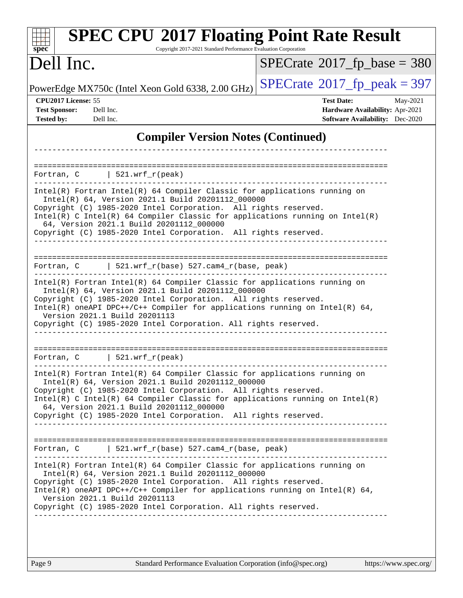| <b>SPEC CPU®2017 Floating Point Rate Result</b><br>Copyright 2017-2021 Standard Performance Evaluation Corporation<br>spec <sup>®</sup>                                                                                                                                                                                                                                                            |                                                                                                            |
|----------------------------------------------------------------------------------------------------------------------------------------------------------------------------------------------------------------------------------------------------------------------------------------------------------------------------------------------------------------------------------------------------|------------------------------------------------------------------------------------------------------------|
| Dell Inc.                                                                                                                                                                                                                                                                                                                                                                                          | $SPECrate$ <sup>®</sup> 2017_fp_base = 380                                                                 |
| PowerEdge MX750c (Intel Xeon Gold 6338, 2.00 GHz)                                                                                                                                                                                                                                                                                                                                                  | $SPECTate@2017_fp\_peak = 397$                                                                             |
| CPU2017 License: 55<br><b>Test Sponsor:</b><br>Dell Inc.<br><b>Tested by:</b><br>Dell Inc.                                                                                                                                                                                                                                                                                                         | <b>Test Date:</b><br>May-2021<br>Hardware Availability: Apr-2021<br><b>Software Availability:</b> Dec-2020 |
| <b>Compiler Version Notes (Continued)</b>                                                                                                                                                                                                                                                                                                                                                          |                                                                                                            |
| ========================                                                                                                                                                                                                                                                                                                                                                                           |                                                                                                            |
| $\vert$ 521.wrf_r(peak)<br>Fortran, C                                                                                                                                                                                                                                                                                                                                                              |                                                                                                            |
| Intel(R) Fortran Intel(R) 64 Compiler Classic for applications running on<br>Intel(R) 64, Version 2021.1 Build 20201112_000000<br>Copyright (C) 1985-2020 Intel Corporation. All rights reserved.<br>Intel(R) C Intel(R) 64 Compiler Classic for applications running on Intel(R)<br>64, Version 2021.1 Build 20201112_000000<br>Copyright (C) 1985-2020 Intel Corporation. All rights reserved.   |                                                                                                            |
| $521.wrf_r(base) 527.cam4_r(base, peak)$<br>Fortran, C                                                                                                                                                                                                                                                                                                                                             |                                                                                                            |
| Intel(R) Fortran Intel(R) 64 Compiler Classic for applications running on<br>Intel(R) 64, Version 2021.1 Build 20201112_000000<br>Copyright (C) 1985-2020 Intel Corporation. All rights reserved.<br>Intel(R) oneAPI DPC++/C++ Compiler for applications running on Intel(R) $64$ ,<br>Version 2021.1 Build 20201113<br>Copyright (C) 1985-2020 Intel Corporation. All rights reserved.            |                                                                                                            |
| 521.wrf_r(peak)<br>Fortran, C                                                                                                                                                                                                                                                                                                                                                                      |                                                                                                            |
| Intel(R) Fortran Intel(R) 64 Compiler Classic for applications running on<br>Intel(R) 64, Version 2021.1 Build 20201112_000000<br>Copyright (C) 1985-2020 Intel Corporation. All rights reserved.<br>$Intel(R)$ C Intel(R) 64 Compiler Classic for applications running on Intel(R)<br>64, Version 2021.1 Build 20201112_000000<br>Copyright (C) 1985-2020 Intel Corporation. All rights reserved. |                                                                                                            |
| Fortran, C $\vert$ 521.wrf_r(base) 527.cam4_r(base, peak)                                                                                                                                                                                                                                                                                                                                          |                                                                                                            |
| Intel(R) Fortran Intel(R) 64 Compiler Classic for applications running on<br>Intel(R) 64, Version 2021.1 Build 20201112_000000<br>Copyright (C) 1985-2020 Intel Corporation. All rights reserved.<br>Intel(R) oneAPI DPC++/C++ Compiler for applications running on Intel(R) $64$ ,<br>Version 2021.1 Build 20201113<br>Copyright (C) 1985-2020 Intel Corporation. All rights reserved.            |                                                                                                            |
|                                                                                                                                                                                                                                                                                                                                                                                                    |                                                                                                            |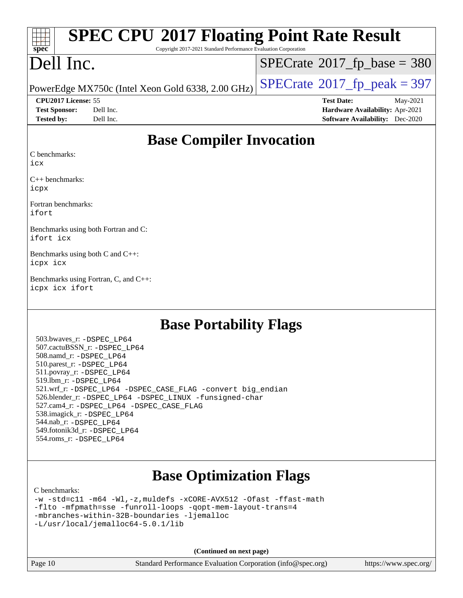| $\frac{1}{\sqrt{1-\frac{1}{2}}\sqrt{1-\frac{1}{2}}\sqrt{1-\frac{1}{2}}\sqrt{1-\frac{1}{2}}\sqrt{1-\frac{1}{2}}\sqrt{1-\frac{1}{2}}\sqrt{1-\frac{1}{2}}\sqrt{1-\frac{1}{2}}\sqrt{1-\frac{1}{2}}\sqrt{1-\frac{1}{2}}\sqrt{1-\frac{1}{2}}\sqrt{1-\frac{1}{2}}\sqrt{1-\frac{1}{2}}\sqrt{1-\frac{1}{2}}\sqrt{1-\frac{1}{2}}\sqrt{1-\frac{1}{2}}\sqrt{1-\frac{1}{2}}\sqrt{1-\frac{1}{2}}\sqrt{1-\frac{1}{2}}\sqrt{1-\frac$<br><b>SPEC CPU®2017 Floating Point Rate Result</b><br>Copyright 2017-2021 Standard Performance Evaluation Corporation |                                               |  |
|--------------------------------------------------------------------------------------------------------------------------------------------------------------------------------------------------------------------------------------------------------------------------------------------------------------------------------------------------------------------------------------------------------------------------------------------------------------------------------------------------------------------------------------------|-----------------------------------------------|--|
| Dell Inc.                                                                                                                                                                                                                                                                                                                                                                                                                                                                                                                                  | $SPECrate^{\circledcirc}2017\_fp\_base = 380$ |  |
| PowerEdge MX750c (Intel Xeon Gold 6338, 2.00 GHz) $\left $ SPECrate®2017_fp_peak = 397                                                                                                                                                                                                                                                                                                                                                                                                                                                     |                                               |  |
| <b>CPU2017 License: 55</b>                                                                                                                                                                                                                                                                                                                                                                                                                                                                                                                 | May-2021<br><b>Test Date:</b>                 |  |

**[Test Sponsor:](http://www.spec.org/auto/cpu2017/Docs/result-fields.html#TestSponsor)** Dell Inc. **[Hardware Availability:](http://www.spec.org/auto/cpu2017/Docs/result-fields.html#HardwareAvailability)** Apr-2021 **[Tested by:](http://www.spec.org/auto/cpu2017/Docs/result-fields.html#Testedby)** Dell Inc. **[Software Availability:](http://www.spec.org/auto/cpu2017/Docs/result-fields.html#SoftwareAvailability)** Dec-2020

# **[Base Compiler Invocation](http://www.spec.org/auto/cpu2017/Docs/result-fields.html#BaseCompilerInvocation)**

[C benchmarks](http://www.spec.org/auto/cpu2017/Docs/result-fields.html#Cbenchmarks):

[icx](http://www.spec.org/cpu2017/results/res2021q2/cpu2017-20210524-26547.flags.html#user_CCbase_intel_icx_fe2d28d19ae2a5db7c42fe0f2a2aed77cb715edd4aeb23434404a8be6683fe239869bb6ca8154ca98265c2e3b9226a719a0efe2953a4a7018c379b7010ccf087)

[C++ benchmarks:](http://www.spec.org/auto/cpu2017/Docs/result-fields.html#CXXbenchmarks) [icpx](http://www.spec.org/cpu2017/results/res2021q2/cpu2017-20210524-26547.flags.html#user_CXXbase_intel_icpx_1e918ed14c436bf4b9b7c8bcdd51d4539fc71b3df010bd1e9f8732d9c34c2b2914e48204a846820f3c0ebb4095dea797a5c30b458ac0b6dffac65d78f781f5ca)

[Fortran benchmarks](http://www.spec.org/auto/cpu2017/Docs/result-fields.html#Fortranbenchmarks): [ifort](http://www.spec.org/cpu2017/results/res2021q2/cpu2017-20210524-26547.flags.html#user_FCbase_intel_ifort_8111460550e3ca792625aed983ce982f94888b8b503583aa7ba2b8303487b4d8a21a13e7191a45c5fd58ff318f48f9492884d4413fa793fd88dd292cad7027ca)

[Benchmarks using both Fortran and C](http://www.spec.org/auto/cpu2017/Docs/result-fields.html#BenchmarksusingbothFortranandC): [ifort](http://www.spec.org/cpu2017/results/res2021q2/cpu2017-20210524-26547.flags.html#user_CC_FCbase_intel_ifort_8111460550e3ca792625aed983ce982f94888b8b503583aa7ba2b8303487b4d8a21a13e7191a45c5fd58ff318f48f9492884d4413fa793fd88dd292cad7027ca) [icx](http://www.spec.org/cpu2017/results/res2021q2/cpu2017-20210524-26547.flags.html#user_CC_FCbase_intel_icx_fe2d28d19ae2a5db7c42fe0f2a2aed77cb715edd4aeb23434404a8be6683fe239869bb6ca8154ca98265c2e3b9226a719a0efe2953a4a7018c379b7010ccf087)

[Benchmarks using both C and C++:](http://www.spec.org/auto/cpu2017/Docs/result-fields.html#BenchmarksusingbothCandCXX) [icpx](http://www.spec.org/cpu2017/results/res2021q2/cpu2017-20210524-26547.flags.html#user_CC_CXXbase_intel_icpx_1e918ed14c436bf4b9b7c8bcdd51d4539fc71b3df010bd1e9f8732d9c34c2b2914e48204a846820f3c0ebb4095dea797a5c30b458ac0b6dffac65d78f781f5ca) [icx](http://www.spec.org/cpu2017/results/res2021q2/cpu2017-20210524-26547.flags.html#user_CC_CXXbase_intel_icx_fe2d28d19ae2a5db7c42fe0f2a2aed77cb715edd4aeb23434404a8be6683fe239869bb6ca8154ca98265c2e3b9226a719a0efe2953a4a7018c379b7010ccf087)

[Benchmarks using Fortran, C, and C++](http://www.spec.org/auto/cpu2017/Docs/result-fields.html#BenchmarksusingFortranCandCXX): [icpx](http://www.spec.org/cpu2017/results/res2021q2/cpu2017-20210524-26547.flags.html#user_CC_CXX_FCbase_intel_icpx_1e918ed14c436bf4b9b7c8bcdd51d4539fc71b3df010bd1e9f8732d9c34c2b2914e48204a846820f3c0ebb4095dea797a5c30b458ac0b6dffac65d78f781f5ca) [icx](http://www.spec.org/cpu2017/results/res2021q2/cpu2017-20210524-26547.flags.html#user_CC_CXX_FCbase_intel_icx_fe2d28d19ae2a5db7c42fe0f2a2aed77cb715edd4aeb23434404a8be6683fe239869bb6ca8154ca98265c2e3b9226a719a0efe2953a4a7018c379b7010ccf087) [ifort](http://www.spec.org/cpu2017/results/res2021q2/cpu2017-20210524-26547.flags.html#user_CC_CXX_FCbase_intel_ifort_8111460550e3ca792625aed983ce982f94888b8b503583aa7ba2b8303487b4d8a21a13e7191a45c5fd58ff318f48f9492884d4413fa793fd88dd292cad7027ca)

# **[Base Portability Flags](http://www.spec.org/auto/cpu2017/Docs/result-fields.html#BasePortabilityFlags)**

 503.bwaves\_r: [-DSPEC\\_LP64](http://www.spec.org/cpu2017/results/res2021q2/cpu2017-20210524-26547.flags.html#suite_basePORTABILITY503_bwaves_r_DSPEC_LP64) 507.cactuBSSN\_r: [-DSPEC\\_LP64](http://www.spec.org/cpu2017/results/res2021q2/cpu2017-20210524-26547.flags.html#suite_basePORTABILITY507_cactuBSSN_r_DSPEC_LP64) 508.namd\_r: [-DSPEC\\_LP64](http://www.spec.org/cpu2017/results/res2021q2/cpu2017-20210524-26547.flags.html#suite_basePORTABILITY508_namd_r_DSPEC_LP64) 510.parest\_r: [-DSPEC\\_LP64](http://www.spec.org/cpu2017/results/res2021q2/cpu2017-20210524-26547.flags.html#suite_basePORTABILITY510_parest_r_DSPEC_LP64) 511.povray\_r: [-DSPEC\\_LP64](http://www.spec.org/cpu2017/results/res2021q2/cpu2017-20210524-26547.flags.html#suite_basePORTABILITY511_povray_r_DSPEC_LP64) 519.lbm\_r: [-DSPEC\\_LP64](http://www.spec.org/cpu2017/results/res2021q2/cpu2017-20210524-26547.flags.html#suite_basePORTABILITY519_lbm_r_DSPEC_LP64) 521.wrf\_r: [-DSPEC\\_LP64](http://www.spec.org/cpu2017/results/res2021q2/cpu2017-20210524-26547.flags.html#suite_basePORTABILITY521_wrf_r_DSPEC_LP64) [-DSPEC\\_CASE\\_FLAG](http://www.spec.org/cpu2017/results/res2021q2/cpu2017-20210524-26547.flags.html#b521.wrf_r_baseCPORTABILITY_DSPEC_CASE_FLAG) [-convert big\\_endian](http://www.spec.org/cpu2017/results/res2021q2/cpu2017-20210524-26547.flags.html#user_baseFPORTABILITY521_wrf_r_convert_big_endian_c3194028bc08c63ac5d04de18c48ce6d347e4e562e8892b8bdbdc0214820426deb8554edfa529a3fb25a586e65a3d812c835984020483e7e73212c4d31a38223) 526.blender\_r: [-DSPEC\\_LP64](http://www.spec.org/cpu2017/results/res2021q2/cpu2017-20210524-26547.flags.html#suite_basePORTABILITY526_blender_r_DSPEC_LP64) [-DSPEC\\_LINUX](http://www.spec.org/cpu2017/results/res2021q2/cpu2017-20210524-26547.flags.html#b526.blender_r_baseCPORTABILITY_DSPEC_LINUX) [-funsigned-char](http://www.spec.org/cpu2017/results/res2021q2/cpu2017-20210524-26547.flags.html#user_baseCPORTABILITY526_blender_r_force_uchar_40c60f00ab013830e2dd6774aeded3ff59883ba5a1fc5fc14077f794d777847726e2a5858cbc7672e36e1b067e7e5c1d9a74f7176df07886a243d7cc18edfe67) 527.cam4\_r: [-DSPEC\\_LP64](http://www.spec.org/cpu2017/results/res2021q2/cpu2017-20210524-26547.flags.html#suite_basePORTABILITY527_cam4_r_DSPEC_LP64) [-DSPEC\\_CASE\\_FLAG](http://www.spec.org/cpu2017/results/res2021q2/cpu2017-20210524-26547.flags.html#b527.cam4_r_baseCPORTABILITY_DSPEC_CASE_FLAG) 538.imagick\_r: [-DSPEC\\_LP64](http://www.spec.org/cpu2017/results/res2021q2/cpu2017-20210524-26547.flags.html#suite_basePORTABILITY538_imagick_r_DSPEC_LP64) 544.nab\_r: [-DSPEC\\_LP64](http://www.spec.org/cpu2017/results/res2021q2/cpu2017-20210524-26547.flags.html#suite_basePORTABILITY544_nab_r_DSPEC_LP64) 549.fotonik3d\_r: [-DSPEC\\_LP64](http://www.spec.org/cpu2017/results/res2021q2/cpu2017-20210524-26547.flags.html#suite_basePORTABILITY549_fotonik3d_r_DSPEC_LP64) 554.roms\_r: [-DSPEC\\_LP64](http://www.spec.org/cpu2017/results/res2021q2/cpu2017-20210524-26547.flags.html#suite_basePORTABILITY554_roms_r_DSPEC_LP64)

# **[Base Optimization Flags](http://www.spec.org/auto/cpu2017/Docs/result-fields.html#BaseOptimizationFlags)**

[C benchmarks](http://www.spec.org/auto/cpu2017/Docs/result-fields.html#Cbenchmarks):

[-w](http://www.spec.org/cpu2017/results/res2021q2/cpu2017-20210524-26547.flags.html#user_CCbase_supress_warning_66fb2c4e5c1dd10f38bdd29623979399e5ae75ae6e5453792d82ef66afed381df4a8602f92cac8d2ea0fffa7b93b4b1ccb9ecad4af01c9b2fe338b2082ae3859) [-std=c11](http://www.spec.org/cpu2017/results/res2021q2/cpu2017-20210524-26547.flags.html#user_CCbase_std-icc-std_0e1c27790398a4642dfca32ffe6c27b5796f9c2d2676156f2e42c9c44eaad0c049b1cdb667a270c34d979996257aeb8fc440bfb01818dbc9357bd9d174cb8524) [-m64](http://www.spec.org/cpu2017/results/res2021q2/cpu2017-20210524-26547.flags.html#user_CCbase_m64-icc) [-Wl,-z,muldefs](http://www.spec.org/cpu2017/results/res2021q2/cpu2017-20210524-26547.flags.html#user_CCbase_link_force_multiple1_b4cbdb97b34bdee9ceefcfe54f4c8ea74255f0b02a4b23e853cdb0e18eb4525ac79b5a88067c842dd0ee6996c24547a27a4b99331201badda8798ef8a743f577) [-xCORE-AVX512](http://www.spec.org/cpu2017/results/res2021q2/cpu2017-20210524-26547.flags.html#user_CCbase_f-xCORE-AVX512) [-Ofast](http://www.spec.org/cpu2017/results/res2021q2/cpu2017-20210524-26547.flags.html#user_CCbase_f-Ofast) [-ffast-math](http://www.spec.org/cpu2017/results/res2021q2/cpu2017-20210524-26547.flags.html#user_CCbase_f-ffast-math) [-flto](http://www.spec.org/cpu2017/results/res2021q2/cpu2017-20210524-26547.flags.html#user_CCbase_f-flto) [-mfpmath=sse](http://www.spec.org/cpu2017/results/res2021q2/cpu2017-20210524-26547.flags.html#user_CCbase_f-mfpmath_70eb8fac26bde974f8ab713bc9086c5621c0b8d2f6c86f38af0bd7062540daf19db5f3a066d8c6684be05d84c9b6322eb3b5be6619d967835195b93d6c02afa1) [-funroll-loops](http://www.spec.org/cpu2017/results/res2021q2/cpu2017-20210524-26547.flags.html#user_CCbase_f-funroll-loops) [-qopt-mem-layout-trans=4](http://www.spec.org/cpu2017/results/res2021q2/cpu2017-20210524-26547.flags.html#user_CCbase_f-qopt-mem-layout-trans_fa39e755916c150a61361b7846f310bcdf6f04e385ef281cadf3647acec3f0ae266d1a1d22d972a7087a248fd4e6ca390a3634700869573d231a252c784941a8) [-mbranches-within-32B-boundaries](http://www.spec.org/cpu2017/results/res2021q2/cpu2017-20210524-26547.flags.html#user_CCbase_f-mbranches-within-32B-boundaries) [-ljemalloc](http://www.spec.org/cpu2017/results/res2021q2/cpu2017-20210524-26547.flags.html#user_CCbase_jemalloc_link_lib_d1249b907c500fa1c0672f44f562e3d0f79738ae9e3c4a9c376d49f265a04b9c99b167ecedbf6711b3085be911c67ff61f150a17b3472be731631ba4d0471706) [-L/usr/local/jemalloc64-5.0.1/lib](http://www.spec.org/cpu2017/results/res2021q2/cpu2017-20210524-26547.flags.html#user_CCbase_jemalloc_link_path64_1_cc289568b1a6c0fd3b62c91b824c27fcb5af5e8098e6ad028160d21144ef1b8aef3170d2acf0bee98a8da324cfe4f67d0a3d0c4cc4673d993d694dc2a0df248b)

**(Continued on next page)**

Page 10 Standard Performance Evaluation Corporation [\(info@spec.org\)](mailto:info@spec.org) <https://www.spec.org/>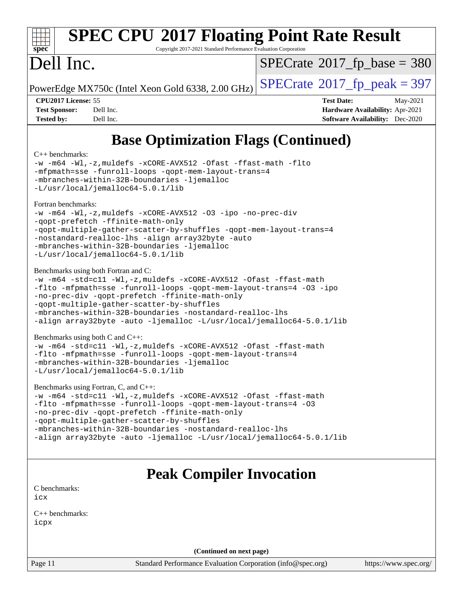

# **[SPEC CPU](http://www.spec.org/auto/cpu2017/Docs/result-fields.html#SPECCPU2017FloatingPointRateResult)[2017 Floating Point Rate Result](http://www.spec.org/auto/cpu2017/Docs/result-fields.html#SPECCPU2017FloatingPointRateResult)**

Copyright 2017-2021 Standard Performance Evaluation Corporation

# Dell Inc.

 $SPECrate$ <sup>®</sup>[2017\\_fp\\_base =](http://www.spec.org/auto/cpu2017/Docs/result-fields.html#SPECrate2017fpbase) 380

PowerEdge MX750c (Intel Xeon Gold 6338, 2.00 GHz)  $\left|$  [SPECrate](http://www.spec.org/auto/cpu2017/Docs/result-fields.html#SPECrate2017fppeak)<sup>®</sup>[2017\\_fp\\_peak = 3](http://www.spec.org/auto/cpu2017/Docs/result-fields.html#SPECrate2017fppeak)97

**[CPU2017 License:](http://www.spec.org/auto/cpu2017/Docs/result-fields.html#CPU2017License)** 55 **[Test Date:](http://www.spec.org/auto/cpu2017/Docs/result-fields.html#TestDate)** May-2021 **[Test Sponsor:](http://www.spec.org/auto/cpu2017/Docs/result-fields.html#TestSponsor)** Dell Inc. **[Hardware Availability:](http://www.spec.org/auto/cpu2017/Docs/result-fields.html#HardwareAvailability)** Apr-2021 **[Tested by:](http://www.spec.org/auto/cpu2017/Docs/result-fields.html#Testedby)** Dell Inc. **[Software Availability:](http://www.spec.org/auto/cpu2017/Docs/result-fields.html#SoftwareAvailability)** Dec-2020

# **[Base Optimization Flags \(Continued\)](http://www.spec.org/auto/cpu2017/Docs/result-fields.html#BaseOptimizationFlags)**

### [C++ benchmarks:](http://www.spec.org/auto/cpu2017/Docs/result-fields.html#CXXbenchmarks)

[-w](http://www.spec.org/cpu2017/results/res2021q2/cpu2017-20210524-26547.flags.html#user_CXXbase_supress_warning_66fb2c4e5c1dd10f38bdd29623979399e5ae75ae6e5453792d82ef66afed381df4a8602f92cac8d2ea0fffa7b93b4b1ccb9ecad4af01c9b2fe338b2082ae3859) [-m64](http://www.spec.org/cpu2017/results/res2021q2/cpu2017-20210524-26547.flags.html#user_CXXbase_m64-icc) [-Wl,-z,muldefs](http://www.spec.org/cpu2017/results/res2021q2/cpu2017-20210524-26547.flags.html#user_CXXbase_link_force_multiple1_b4cbdb97b34bdee9ceefcfe54f4c8ea74255f0b02a4b23e853cdb0e18eb4525ac79b5a88067c842dd0ee6996c24547a27a4b99331201badda8798ef8a743f577) [-xCORE-AVX512](http://www.spec.org/cpu2017/results/res2021q2/cpu2017-20210524-26547.flags.html#user_CXXbase_f-xCORE-AVX512) [-Ofast](http://www.spec.org/cpu2017/results/res2021q2/cpu2017-20210524-26547.flags.html#user_CXXbase_f-Ofast) [-ffast-math](http://www.spec.org/cpu2017/results/res2021q2/cpu2017-20210524-26547.flags.html#user_CXXbase_f-ffast-math) [-flto](http://www.spec.org/cpu2017/results/res2021q2/cpu2017-20210524-26547.flags.html#user_CXXbase_f-flto) [-mfpmath=sse](http://www.spec.org/cpu2017/results/res2021q2/cpu2017-20210524-26547.flags.html#user_CXXbase_f-mfpmath_70eb8fac26bde974f8ab713bc9086c5621c0b8d2f6c86f38af0bd7062540daf19db5f3a066d8c6684be05d84c9b6322eb3b5be6619d967835195b93d6c02afa1) [-funroll-loops](http://www.spec.org/cpu2017/results/res2021q2/cpu2017-20210524-26547.flags.html#user_CXXbase_f-funroll-loops) [-qopt-mem-layout-trans=4](http://www.spec.org/cpu2017/results/res2021q2/cpu2017-20210524-26547.flags.html#user_CXXbase_f-qopt-mem-layout-trans_fa39e755916c150a61361b7846f310bcdf6f04e385ef281cadf3647acec3f0ae266d1a1d22d972a7087a248fd4e6ca390a3634700869573d231a252c784941a8) [-mbranches-within-32B-boundaries](http://www.spec.org/cpu2017/results/res2021q2/cpu2017-20210524-26547.flags.html#user_CXXbase_f-mbranches-within-32B-boundaries) [-ljemalloc](http://www.spec.org/cpu2017/results/res2021q2/cpu2017-20210524-26547.flags.html#user_CXXbase_jemalloc_link_lib_d1249b907c500fa1c0672f44f562e3d0f79738ae9e3c4a9c376d49f265a04b9c99b167ecedbf6711b3085be911c67ff61f150a17b3472be731631ba4d0471706) [-L/usr/local/jemalloc64-5.0.1/lib](http://www.spec.org/cpu2017/results/res2021q2/cpu2017-20210524-26547.flags.html#user_CXXbase_jemalloc_link_path64_1_cc289568b1a6c0fd3b62c91b824c27fcb5af5e8098e6ad028160d21144ef1b8aef3170d2acf0bee98a8da324cfe4f67d0a3d0c4cc4673d993d694dc2a0df248b) [Fortran benchmarks](http://www.spec.org/auto/cpu2017/Docs/result-fields.html#Fortranbenchmarks): [-w](http://www.spec.org/cpu2017/results/res2021q2/cpu2017-20210524-26547.flags.html#user_FCbase_supress_warning_66fb2c4e5c1dd10f38bdd29623979399e5ae75ae6e5453792d82ef66afed381df4a8602f92cac8d2ea0fffa7b93b4b1ccb9ecad4af01c9b2fe338b2082ae3859) [-m64](http://www.spec.org/cpu2017/results/res2021q2/cpu2017-20210524-26547.flags.html#user_FCbase_m64-icc) [-Wl,-z,muldefs](http://www.spec.org/cpu2017/results/res2021q2/cpu2017-20210524-26547.flags.html#user_FCbase_link_force_multiple1_b4cbdb97b34bdee9ceefcfe54f4c8ea74255f0b02a4b23e853cdb0e18eb4525ac79b5a88067c842dd0ee6996c24547a27a4b99331201badda8798ef8a743f577) [-xCORE-AVX512](http://www.spec.org/cpu2017/results/res2021q2/cpu2017-20210524-26547.flags.html#user_FCbase_f-xCORE-AVX512) [-O3](http://www.spec.org/cpu2017/results/res2021q2/cpu2017-20210524-26547.flags.html#user_FCbase_f-O3) [-ipo](http://www.spec.org/cpu2017/results/res2021q2/cpu2017-20210524-26547.flags.html#user_FCbase_f-ipo) [-no-prec-div](http://www.spec.org/cpu2017/results/res2021q2/cpu2017-20210524-26547.flags.html#user_FCbase_f-no-prec-div) [-qopt-prefetch](http://www.spec.org/cpu2017/results/res2021q2/cpu2017-20210524-26547.flags.html#user_FCbase_f-qopt-prefetch) [-ffinite-math-only](http://www.spec.org/cpu2017/results/res2021q2/cpu2017-20210524-26547.flags.html#user_FCbase_f_finite_math_only_cb91587bd2077682c4b38af759c288ed7c732db004271a9512da14a4f8007909a5f1427ecbf1a0fb78ff2a814402c6114ac565ca162485bbcae155b5e4258871) [-qopt-multiple-gather-scatter-by-shuffles](http://www.spec.org/cpu2017/results/res2021q2/cpu2017-20210524-26547.flags.html#user_FCbase_f-qopt-multiple-gather-scatter-by-shuffles) [-qopt-mem-layout-trans=4](http://www.spec.org/cpu2017/results/res2021q2/cpu2017-20210524-26547.flags.html#user_FCbase_f-qopt-mem-layout-trans_fa39e755916c150a61361b7846f310bcdf6f04e385ef281cadf3647acec3f0ae266d1a1d22d972a7087a248fd4e6ca390a3634700869573d231a252c784941a8) [-nostandard-realloc-lhs](http://www.spec.org/cpu2017/results/res2021q2/cpu2017-20210524-26547.flags.html#user_FCbase_f_2003_std_realloc_82b4557e90729c0f113870c07e44d33d6f5a304b4f63d4c15d2d0f1fab99f5daaed73bdb9275d9ae411527f28b936061aa8b9c8f2d63842963b95c9dd6426b8a) [-align array32byte](http://www.spec.org/cpu2017/results/res2021q2/cpu2017-20210524-26547.flags.html#user_FCbase_align_array32byte_b982fe038af199962ba9a80c053b8342c548c85b40b8e86eb3cc33dee0d7986a4af373ac2d51c3f7cf710a18d62fdce2948f201cd044323541f22fc0fffc51b6) [-auto](http://www.spec.org/cpu2017/results/res2021q2/cpu2017-20210524-26547.flags.html#user_FCbase_f-auto) [-mbranches-within-32B-boundaries](http://www.spec.org/cpu2017/results/res2021q2/cpu2017-20210524-26547.flags.html#user_FCbase_f-mbranches-within-32B-boundaries) [-ljemalloc](http://www.spec.org/cpu2017/results/res2021q2/cpu2017-20210524-26547.flags.html#user_FCbase_jemalloc_link_lib_d1249b907c500fa1c0672f44f562e3d0f79738ae9e3c4a9c376d49f265a04b9c99b167ecedbf6711b3085be911c67ff61f150a17b3472be731631ba4d0471706) [-L/usr/local/jemalloc64-5.0.1/lib](http://www.spec.org/cpu2017/results/res2021q2/cpu2017-20210524-26547.flags.html#user_FCbase_jemalloc_link_path64_1_cc289568b1a6c0fd3b62c91b824c27fcb5af5e8098e6ad028160d21144ef1b8aef3170d2acf0bee98a8da324cfe4f67d0a3d0c4cc4673d993d694dc2a0df248b) [Benchmarks using both Fortran and C](http://www.spec.org/auto/cpu2017/Docs/result-fields.html#BenchmarksusingbothFortranandC): [-w](http://www.spec.org/cpu2017/results/res2021q2/cpu2017-20210524-26547.flags.html#user_CC_FCbase_supress_warning_66fb2c4e5c1dd10f38bdd29623979399e5ae75ae6e5453792d82ef66afed381df4a8602f92cac8d2ea0fffa7b93b4b1ccb9ecad4af01c9b2fe338b2082ae3859) [-m64](http://www.spec.org/cpu2017/results/res2021q2/cpu2017-20210524-26547.flags.html#user_CC_FCbase_m64-icc) [-std=c11](http://www.spec.org/cpu2017/results/res2021q2/cpu2017-20210524-26547.flags.html#user_CC_FCbase_std-icc-std_0e1c27790398a4642dfca32ffe6c27b5796f9c2d2676156f2e42c9c44eaad0c049b1cdb667a270c34d979996257aeb8fc440bfb01818dbc9357bd9d174cb8524) [-Wl,-z,muldefs](http://www.spec.org/cpu2017/results/res2021q2/cpu2017-20210524-26547.flags.html#user_CC_FCbase_link_force_multiple1_b4cbdb97b34bdee9ceefcfe54f4c8ea74255f0b02a4b23e853cdb0e18eb4525ac79b5a88067c842dd0ee6996c24547a27a4b99331201badda8798ef8a743f577) [-xCORE-AVX512](http://www.spec.org/cpu2017/results/res2021q2/cpu2017-20210524-26547.flags.html#user_CC_FCbase_f-xCORE-AVX512) [-Ofast](http://www.spec.org/cpu2017/results/res2021q2/cpu2017-20210524-26547.flags.html#user_CC_FCbase_f-Ofast) [-ffast-math](http://www.spec.org/cpu2017/results/res2021q2/cpu2017-20210524-26547.flags.html#user_CC_FCbase_f-ffast-math) [-flto](http://www.spec.org/cpu2017/results/res2021q2/cpu2017-20210524-26547.flags.html#user_CC_FCbase_f-flto) [-mfpmath=sse](http://www.spec.org/cpu2017/results/res2021q2/cpu2017-20210524-26547.flags.html#user_CC_FCbase_f-mfpmath_70eb8fac26bde974f8ab713bc9086c5621c0b8d2f6c86f38af0bd7062540daf19db5f3a066d8c6684be05d84c9b6322eb3b5be6619d967835195b93d6c02afa1) [-funroll-loops](http://www.spec.org/cpu2017/results/res2021q2/cpu2017-20210524-26547.flags.html#user_CC_FCbase_f-funroll-loops) [-qopt-mem-layout-trans=4](http://www.spec.org/cpu2017/results/res2021q2/cpu2017-20210524-26547.flags.html#user_CC_FCbase_f-qopt-mem-layout-trans_fa39e755916c150a61361b7846f310bcdf6f04e385ef281cadf3647acec3f0ae266d1a1d22d972a7087a248fd4e6ca390a3634700869573d231a252c784941a8) [-O3](http://www.spec.org/cpu2017/results/res2021q2/cpu2017-20210524-26547.flags.html#user_CC_FCbase_f-O3) [-ipo](http://www.spec.org/cpu2017/results/res2021q2/cpu2017-20210524-26547.flags.html#user_CC_FCbase_f-ipo) [-no-prec-div](http://www.spec.org/cpu2017/results/res2021q2/cpu2017-20210524-26547.flags.html#user_CC_FCbase_f-no-prec-div) [-qopt-prefetch](http://www.spec.org/cpu2017/results/res2021q2/cpu2017-20210524-26547.flags.html#user_CC_FCbase_f-qopt-prefetch) [-ffinite-math-only](http://www.spec.org/cpu2017/results/res2021q2/cpu2017-20210524-26547.flags.html#user_CC_FCbase_f_finite_math_only_cb91587bd2077682c4b38af759c288ed7c732db004271a9512da14a4f8007909a5f1427ecbf1a0fb78ff2a814402c6114ac565ca162485bbcae155b5e4258871) [-qopt-multiple-gather-scatter-by-shuffles](http://www.spec.org/cpu2017/results/res2021q2/cpu2017-20210524-26547.flags.html#user_CC_FCbase_f-qopt-multiple-gather-scatter-by-shuffles) [-mbranches-within-32B-boundaries](http://www.spec.org/cpu2017/results/res2021q2/cpu2017-20210524-26547.flags.html#user_CC_FCbase_f-mbranches-within-32B-boundaries) [-nostandard-realloc-lhs](http://www.spec.org/cpu2017/results/res2021q2/cpu2017-20210524-26547.flags.html#user_CC_FCbase_f_2003_std_realloc_82b4557e90729c0f113870c07e44d33d6f5a304b4f63d4c15d2d0f1fab99f5daaed73bdb9275d9ae411527f28b936061aa8b9c8f2d63842963b95c9dd6426b8a) [-align array32byte](http://www.spec.org/cpu2017/results/res2021q2/cpu2017-20210524-26547.flags.html#user_CC_FCbase_align_array32byte_b982fe038af199962ba9a80c053b8342c548c85b40b8e86eb3cc33dee0d7986a4af373ac2d51c3f7cf710a18d62fdce2948f201cd044323541f22fc0fffc51b6) [-auto](http://www.spec.org/cpu2017/results/res2021q2/cpu2017-20210524-26547.flags.html#user_CC_FCbase_f-auto) [-ljemalloc](http://www.spec.org/cpu2017/results/res2021q2/cpu2017-20210524-26547.flags.html#user_CC_FCbase_jemalloc_link_lib_d1249b907c500fa1c0672f44f562e3d0f79738ae9e3c4a9c376d49f265a04b9c99b167ecedbf6711b3085be911c67ff61f150a17b3472be731631ba4d0471706) [-L/usr/local/jemalloc64-5.0.1/lib](http://www.spec.org/cpu2017/results/res2021q2/cpu2017-20210524-26547.flags.html#user_CC_FCbase_jemalloc_link_path64_1_cc289568b1a6c0fd3b62c91b824c27fcb5af5e8098e6ad028160d21144ef1b8aef3170d2acf0bee98a8da324cfe4f67d0a3d0c4cc4673d993d694dc2a0df248b) [Benchmarks using both C and C++](http://www.spec.org/auto/cpu2017/Docs/result-fields.html#BenchmarksusingbothCandCXX): [-w](http://www.spec.org/cpu2017/results/res2021q2/cpu2017-20210524-26547.flags.html#user_CC_CXXbase_supress_warning_66fb2c4e5c1dd10f38bdd29623979399e5ae75ae6e5453792d82ef66afed381df4a8602f92cac8d2ea0fffa7b93b4b1ccb9ecad4af01c9b2fe338b2082ae3859) [-m64](http://www.spec.org/cpu2017/results/res2021q2/cpu2017-20210524-26547.flags.html#user_CC_CXXbase_m64-icc) [-std=c11](http://www.spec.org/cpu2017/results/res2021q2/cpu2017-20210524-26547.flags.html#user_CC_CXXbase_std-icc-std_0e1c27790398a4642dfca32ffe6c27b5796f9c2d2676156f2e42c9c44eaad0c049b1cdb667a270c34d979996257aeb8fc440bfb01818dbc9357bd9d174cb8524) [-Wl,-z,muldefs](http://www.spec.org/cpu2017/results/res2021q2/cpu2017-20210524-26547.flags.html#user_CC_CXXbase_link_force_multiple1_b4cbdb97b34bdee9ceefcfe54f4c8ea74255f0b02a4b23e853cdb0e18eb4525ac79b5a88067c842dd0ee6996c24547a27a4b99331201badda8798ef8a743f577) [-xCORE-AVX512](http://www.spec.org/cpu2017/results/res2021q2/cpu2017-20210524-26547.flags.html#user_CC_CXXbase_f-xCORE-AVX512) [-Ofast](http://www.spec.org/cpu2017/results/res2021q2/cpu2017-20210524-26547.flags.html#user_CC_CXXbase_f-Ofast) [-ffast-math](http://www.spec.org/cpu2017/results/res2021q2/cpu2017-20210524-26547.flags.html#user_CC_CXXbase_f-ffast-math) [-flto](http://www.spec.org/cpu2017/results/res2021q2/cpu2017-20210524-26547.flags.html#user_CC_CXXbase_f-flto) [-mfpmath=sse](http://www.spec.org/cpu2017/results/res2021q2/cpu2017-20210524-26547.flags.html#user_CC_CXXbase_f-mfpmath_70eb8fac26bde974f8ab713bc9086c5621c0b8d2f6c86f38af0bd7062540daf19db5f3a066d8c6684be05d84c9b6322eb3b5be6619d967835195b93d6c02afa1) [-funroll-loops](http://www.spec.org/cpu2017/results/res2021q2/cpu2017-20210524-26547.flags.html#user_CC_CXXbase_f-funroll-loops) [-qopt-mem-layout-trans=4](http://www.spec.org/cpu2017/results/res2021q2/cpu2017-20210524-26547.flags.html#user_CC_CXXbase_f-qopt-mem-layout-trans_fa39e755916c150a61361b7846f310bcdf6f04e385ef281cadf3647acec3f0ae266d1a1d22d972a7087a248fd4e6ca390a3634700869573d231a252c784941a8) [-mbranches-within-32B-boundaries](http://www.spec.org/cpu2017/results/res2021q2/cpu2017-20210524-26547.flags.html#user_CC_CXXbase_f-mbranches-within-32B-boundaries) [-ljemalloc](http://www.spec.org/cpu2017/results/res2021q2/cpu2017-20210524-26547.flags.html#user_CC_CXXbase_jemalloc_link_lib_d1249b907c500fa1c0672f44f562e3d0f79738ae9e3c4a9c376d49f265a04b9c99b167ecedbf6711b3085be911c67ff61f150a17b3472be731631ba4d0471706) [-L/usr/local/jemalloc64-5.0.1/lib](http://www.spec.org/cpu2017/results/res2021q2/cpu2017-20210524-26547.flags.html#user_CC_CXXbase_jemalloc_link_path64_1_cc289568b1a6c0fd3b62c91b824c27fcb5af5e8098e6ad028160d21144ef1b8aef3170d2acf0bee98a8da324cfe4f67d0a3d0c4cc4673d993d694dc2a0df248b) [Benchmarks using Fortran, C, and C++:](http://www.spec.org/auto/cpu2017/Docs/result-fields.html#BenchmarksusingFortranCandCXX) [-w](http://www.spec.org/cpu2017/results/res2021q2/cpu2017-20210524-26547.flags.html#user_CC_CXX_FCbase_supress_warning_66fb2c4e5c1dd10f38bdd29623979399e5ae75ae6e5453792d82ef66afed381df4a8602f92cac8d2ea0fffa7b93b4b1ccb9ecad4af01c9b2fe338b2082ae3859) [-m64](http://www.spec.org/cpu2017/results/res2021q2/cpu2017-20210524-26547.flags.html#user_CC_CXX_FCbase_m64-icc) [-std=c11](http://www.spec.org/cpu2017/results/res2021q2/cpu2017-20210524-26547.flags.html#user_CC_CXX_FCbase_std-icc-std_0e1c27790398a4642dfca32ffe6c27b5796f9c2d2676156f2e42c9c44eaad0c049b1cdb667a270c34d979996257aeb8fc440bfb01818dbc9357bd9d174cb8524) [-Wl,-z,muldefs](http://www.spec.org/cpu2017/results/res2021q2/cpu2017-20210524-26547.flags.html#user_CC_CXX_FCbase_link_force_multiple1_b4cbdb97b34bdee9ceefcfe54f4c8ea74255f0b02a4b23e853cdb0e18eb4525ac79b5a88067c842dd0ee6996c24547a27a4b99331201badda8798ef8a743f577) [-xCORE-AVX512](http://www.spec.org/cpu2017/results/res2021q2/cpu2017-20210524-26547.flags.html#user_CC_CXX_FCbase_f-xCORE-AVX512) [-Ofast](http://www.spec.org/cpu2017/results/res2021q2/cpu2017-20210524-26547.flags.html#user_CC_CXX_FCbase_f-Ofast) [-ffast-math](http://www.spec.org/cpu2017/results/res2021q2/cpu2017-20210524-26547.flags.html#user_CC_CXX_FCbase_f-ffast-math) [-flto](http://www.spec.org/cpu2017/results/res2021q2/cpu2017-20210524-26547.flags.html#user_CC_CXX_FCbase_f-flto) [-mfpmath=sse](http://www.spec.org/cpu2017/results/res2021q2/cpu2017-20210524-26547.flags.html#user_CC_CXX_FCbase_f-mfpmath_70eb8fac26bde974f8ab713bc9086c5621c0b8d2f6c86f38af0bd7062540daf19db5f3a066d8c6684be05d84c9b6322eb3b5be6619d967835195b93d6c02afa1) [-funroll-loops](http://www.spec.org/cpu2017/results/res2021q2/cpu2017-20210524-26547.flags.html#user_CC_CXX_FCbase_f-funroll-loops) [-qopt-mem-layout-trans=4](http://www.spec.org/cpu2017/results/res2021q2/cpu2017-20210524-26547.flags.html#user_CC_CXX_FCbase_f-qopt-mem-layout-trans_fa39e755916c150a61361b7846f310bcdf6f04e385ef281cadf3647acec3f0ae266d1a1d22d972a7087a248fd4e6ca390a3634700869573d231a252c784941a8) [-O3](http://www.spec.org/cpu2017/results/res2021q2/cpu2017-20210524-26547.flags.html#user_CC_CXX_FCbase_f-O3) [-no-prec-div](http://www.spec.org/cpu2017/results/res2021q2/cpu2017-20210524-26547.flags.html#user_CC_CXX_FCbase_f-no-prec-div) [-qopt-prefetch](http://www.spec.org/cpu2017/results/res2021q2/cpu2017-20210524-26547.flags.html#user_CC_CXX_FCbase_f-qopt-prefetch) [-ffinite-math-only](http://www.spec.org/cpu2017/results/res2021q2/cpu2017-20210524-26547.flags.html#user_CC_CXX_FCbase_f_finite_math_only_cb91587bd2077682c4b38af759c288ed7c732db004271a9512da14a4f8007909a5f1427ecbf1a0fb78ff2a814402c6114ac565ca162485bbcae155b5e4258871) [-qopt-multiple-gather-scatter-by-shuffles](http://www.spec.org/cpu2017/results/res2021q2/cpu2017-20210524-26547.flags.html#user_CC_CXX_FCbase_f-qopt-multiple-gather-scatter-by-shuffles) [-mbranches-within-32B-boundaries](http://www.spec.org/cpu2017/results/res2021q2/cpu2017-20210524-26547.flags.html#user_CC_CXX_FCbase_f-mbranches-within-32B-boundaries) [-nostandard-realloc-lhs](http://www.spec.org/cpu2017/results/res2021q2/cpu2017-20210524-26547.flags.html#user_CC_CXX_FCbase_f_2003_std_realloc_82b4557e90729c0f113870c07e44d33d6f5a304b4f63d4c15d2d0f1fab99f5daaed73bdb9275d9ae411527f28b936061aa8b9c8f2d63842963b95c9dd6426b8a) [-align array32byte](http://www.spec.org/cpu2017/results/res2021q2/cpu2017-20210524-26547.flags.html#user_CC_CXX_FCbase_align_array32byte_b982fe038af199962ba9a80c053b8342c548c85b40b8e86eb3cc33dee0d7986a4af373ac2d51c3f7cf710a18d62fdce2948f201cd044323541f22fc0fffc51b6) [-auto](http://www.spec.org/cpu2017/results/res2021q2/cpu2017-20210524-26547.flags.html#user_CC_CXX_FCbase_f-auto) [-ljemalloc](http://www.spec.org/cpu2017/results/res2021q2/cpu2017-20210524-26547.flags.html#user_CC_CXX_FCbase_jemalloc_link_lib_d1249b907c500fa1c0672f44f562e3d0f79738ae9e3c4a9c376d49f265a04b9c99b167ecedbf6711b3085be911c67ff61f150a17b3472be731631ba4d0471706) [-L/usr/local/jemalloc64-5.0.1/lib](http://www.spec.org/cpu2017/results/res2021q2/cpu2017-20210524-26547.flags.html#user_CC_CXX_FCbase_jemalloc_link_path64_1_cc289568b1a6c0fd3b62c91b824c27fcb5af5e8098e6ad028160d21144ef1b8aef3170d2acf0bee98a8da324cfe4f67d0a3d0c4cc4673d993d694dc2a0df248b)

# **[Peak Compiler Invocation](http://www.spec.org/auto/cpu2017/Docs/result-fields.html#PeakCompilerInvocation)**

[C benchmarks](http://www.spec.org/auto/cpu2017/Docs/result-fields.html#Cbenchmarks): [icx](http://www.spec.org/cpu2017/results/res2021q2/cpu2017-20210524-26547.flags.html#user_CCpeak_intel_icx_fe2d28d19ae2a5db7c42fe0f2a2aed77cb715edd4aeb23434404a8be6683fe239869bb6ca8154ca98265c2e3b9226a719a0efe2953a4a7018c379b7010ccf087)

[C++ benchmarks:](http://www.spec.org/auto/cpu2017/Docs/result-fields.html#CXXbenchmarks) [icpx](http://www.spec.org/cpu2017/results/res2021q2/cpu2017-20210524-26547.flags.html#user_CXXpeak_intel_icpx_1e918ed14c436bf4b9b7c8bcdd51d4539fc71b3df010bd1e9f8732d9c34c2b2914e48204a846820f3c0ebb4095dea797a5c30b458ac0b6dffac65d78f781f5ca)

**(Continued on next page)**

Page 11 Standard Performance Evaluation Corporation [\(info@spec.org\)](mailto:info@spec.org) <https://www.spec.org/>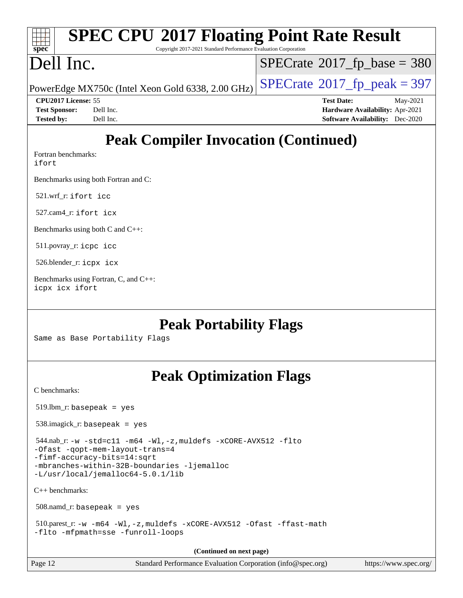| <b>SPEC CPU®2017 Floating Point Rate Result</b><br>$\frac{1}{\sqrt{1-\frac{1}{2}}\sqrt{1-\frac{1}{2}}\sqrt{1-\frac{1}{2}}\sqrt{1-\frac{1}{2}}\sqrt{1-\frac{1}{2}}\sqrt{1-\frac{1}{2}}\sqrt{1-\frac{1}{2}}\sqrt{1-\frac{1}{2}}\sqrt{1-\frac{1}{2}}\sqrt{1-\frac{1}{2}}\sqrt{1-\frac{1}{2}}\sqrt{1-\frac{1}{2}}\sqrt{1-\frac{1}{2}}\sqrt{1-\frac{1}{2}}\sqrt{1-\frac{1}{2}}\sqrt{1-\frac{1}{2}}\sqrt{1-\frac{1}{2}}\sqrt{1-\frac{1}{2}}\sqrt{1-\frac{1}{2}}\sqrt{1-\frac$ |                                              |
|-------------------------------------------------------------------------------------------------------------------------------------------------------------------------------------------------------------------------------------------------------------------------------------------------------------------------------------------------------------------------------------------------------------------------------------------------------------------------|----------------------------------------------|
| Copyright 2017-2021 Standard Performance Evaluation Corporation                                                                                                                                                                                                                                                                                                                                                                                                         |                                              |
| Dell Inc.                                                                                                                                                                                                                                                                                                                                                                                                                                                               | $ SPECrate^{\circledast}2017_fp\_base = 380$ |
| PowerEdge MX750c (Intel Xeon Gold 6338, 2.00 GHz) $\vert$ SPECrate®2017_fp_peak = 397                                                                                                                                                                                                                                                                                                                                                                                   |                                              |

**[Tested by:](http://www.spec.org/auto/cpu2017/Docs/result-fields.html#Testedby)** Dell Inc. **[Software Availability:](http://www.spec.org/auto/cpu2017/Docs/result-fields.html#SoftwareAvailability)** Dec-2020

**[CPU2017 License:](http://www.spec.org/auto/cpu2017/Docs/result-fields.html#CPU2017License)** 55 **[Test Date:](http://www.spec.org/auto/cpu2017/Docs/result-fields.html#TestDate)** May-2021 **[Test Sponsor:](http://www.spec.org/auto/cpu2017/Docs/result-fields.html#TestSponsor)** Dell Inc. **[Hardware Availability:](http://www.spec.org/auto/cpu2017/Docs/result-fields.html#HardwareAvailability)** Apr-2021

# **[Peak Compiler Invocation \(Continued\)](http://www.spec.org/auto/cpu2017/Docs/result-fields.html#PeakCompilerInvocation)**

[Fortran benchmarks](http://www.spec.org/auto/cpu2017/Docs/result-fields.html#Fortranbenchmarks):

[ifort](http://www.spec.org/cpu2017/results/res2021q2/cpu2017-20210524-26547.flags.html#user_FCpeak_intel_ifort_8111460550e3ca792625aed983ce982f94888b8b503583aa7ba2b8303487b4d8a21a13e7191a45c5fd58ff318f48f9492884d4413fa793fd88dd292cad7027ca)

[Benchmarks using both Fortran and C](http://www.spec.org/auto/cpu2017/Docs/result-fields.html#BenchmarksusingbothFortranandC):

521.wrf\_r: [ifort](http://www.spec.org/cpu2017/results/res2021q2/cpu2017-20210524-26547.flags.html#user_peakFCLD521_wrf_r_intel_ifort_8111460550e3ca792625aed983ce982f94888b8b503583aa7ba2b8303487b4d8a21a13e7191a45c5fd58ff318f48f9492884d4413fa793fd88dd292cad7027ca) [icc](http://www.spec.org/cpu2017/results/res2021q2/cpu2017-20210524-26547.flags.html#user_peakCC521_wrf_r_intel_icc_66fc1ee009f7361af1fbd72ca7dcefbb700085f36577c54f309893dd4ec40d12360134090235512931783d35fd58c0460139e722d5067c5574d8eaf2b3e37e92)

527.cam4\_r: [ifort](http://www.spec.org/cpu2017/results/res2021q2/cpu2017-20210524-26547.flags.html#user_peakFCLD527_cam4_r_intel_ifort_8111460550e3ca792625aed983ce982f94888b8b503583aa7ba2b8303487b4d8a21a13e7191a45c5fd58ff318f48f9492884d4413fa793fd88dd292cad7027ca) [icx](http://www.spec.org/cpu2017/results/res2021q2/cpu2017-20210524-26547.flags.html#user_peakCC527_cam4_r_intel_icx_fe2d28d19ae2a5db7c42fe0f2a2aed77cb715edd4aeb23434404a8be6683fe239869bb6ca8154ca98265c2e3b9226a719a0efe2953a4a7018c379b7010ccf087)

[Benchmarks using both C and C++](http://www.spec.org/auto/cpu2017/Docs/result-fields.html#BenchmarksusingbothCandCXX):

511.povray\_r: [icpc](http://www.spec.org/cpu2017/results/res2021q2/cpu2017-20210524-26547.flags.html#user_peakCXXLD511_povray_r_intel_icpc_c510b6838c7f56d33e37e94d029a35b4a7bccf4766a728ee175e80a419847e808290a9b78be685c44ab727ea267ec2f070ec5dc83b407c0218cded6866a35d07) [icc](http://www.spec.org/cpu2017/results/res2021q2/cpu2017-20210524-26547.flags.html#user_peakCC511_povray_r_intel_icc_66fc1ee009f7361af1fbd72ca7dcefbb700085f36577c54f309893dd4ec40d12360134090235512931783d35fd58c0460139e722d5067c5574d8eaf2b3e37e92)

526.blender\_r: [icpx](http://www.spec.org/cpu2017/results/res2021q2/cpu2017-20210524-26547.flags.html#user_peakCXXLD526_blender_r_intel_icpx_1e918ed14c436bf4b9b7c8bcdd51d4539fc71b3df010bd1e9f8732d9c34c2b2914e48204a846820f3c0ebb4095dea797a5c30b458ac0b6dffac65d78f781f5ca) [icx](http://www.spec.org/cpu2017/results/res2021q2/cpu2017-20210524-26547.flags.html#user_peakCC526_blender_r_intel_icx_fe2d28d19ae2a5db7c42fe0f2a2aed77cb715edd4aeb23434404a8be6683fe239869bb6ca8154ca98265c2e3b9226a719a0efe2953a4a7018c379b7010ccf087)

[Benchmarks using Fortran, C, and C++:](http://www.spec.org/auto/cpu2017/Docs/result-fields.html#BenchmarksusingFortranCandCXX) [icpx](http://www.spec.org/cpu2017/results/res2021q2/cpu2017-20210524-26547.flags.html#user_CC_CXX_FCpeak_intel_icpx_1e918ed14c436bf4b9b7c8bcdd51d4539fc71b3df010bd1e9f8732d9c34c2b2914e48204a846820f3c0ebb4095dea797a5c30b458ac0b6dffac65d78f781f5ca) [icx](http://www.spec.org/cpu2017/results/res2021q2/cpu2017-20210524-26547.flags.html#user_CC_CXX_FCpeak_intel_icx_fe2d28d19ae2a5db7c42fe0f2a2aed77cb715edd4aeb23434404a8be6683fe239869bb6ca8154ca98265c2e3b9226a719a0efe2953a4a7018c379b7010ccf087) [ifort](http://www.spec.org/cpu2017/results/res2021q2/cpu2017-20210524-26547.flags.html#user_CC_CXX_FCpeak_intel_ifort_8111460550e3ca792625aed983ce982f94888b8b503583aa7ba2b8303487b4d8a21a13e7191a45c5fd58ff318f48f9492884d4413fa793fd88dd292cad7027ca)

# **[Peak Portability Flags](http://www.spec.org/auto/cpu2017/Docs/result-fields.html#PeakPortabilityFlags)**

Same as Base Portability Flags

# **[Peak Optimization Flags](http://www.spec.org/auto/cpu2017/Docs/result-fields.html#PeakOptimizationFlags)**

[C benchmarks](http://www.spec.org/auto/cpu2017/Docs/result-fields.html#Cbenchmarks):

519.lbm\_r: basepeak = yes

538.imagick\_r: basepeak = yes

 544.nab\_r: [-w](http://www.spec.org/cpu2017/results/res2021q2/cpu2017-20210524-26547.flags.html#user_peakCCLD544_nab_r_supress_warning_66fb2c4e5c1dd10f38bdd29623979399e5ae75ae6e5453792d82ef66afed381df4a8602f92cac8d2ea0fffa7b93b4b1ccb9ecad4af01c9b2fe338b2082ae3859) [-std=c11](http://www.spec.org/cpu2017/results/res2021q2/cpu2017-20210524-26547.flags.html#user_peakCCLD544_nab_r_std-icc-std_0e1c27790398a4642dfca32ffe6c27b5796f9c2d2676156f2e42c9c44eaad0c049b1cdb667a270c34d979996257aeb8fc440bfb01818dbc9357bd9d174cb8524) [-m64](http://www.spec.org/cpu2017/results/res2021q2/cpu2017-20210524-26547.flags.html#user_peakCCLD544_nab_r_m64-icc) [-Wl,-z,muldefs](http://www.spec.org/cpu2017/results/res2021q2/cpu2017-20210524-26547.flags.html#user_peakEXTRA_LDFLAGS544_nab_r_link_force_multiple1_b4cbdb97b34bdee9ceefcfe54f4c8ea74255f0b02a4b23e853cdb0e18eb4525ac79b5a88067c842dd0ee6996c24547a27a4b99331201badda8798ef8a743f577) [-xCORE-AVX512](http://www.spec.org/cpu2017/results/res2021q2/cpu2017-20210524-26547.flags.html#user_peakCOPTIMIZE544_nab_r_f-xCORE-AVX512) [-flto](http://www.spec.org/cpu2017/results/res2021q2/cpu2017-20210524-26547.flags.html#user_peakCOPTIMIZE544_nab_r_f-flto) [-Ofast](http://www.spec.org/cpu2017/results/res2021q2/cpu2017-20210524-26547.flags.html#user_peakCOPTIMIZE544_nab_r_f-Ofast) [-qopt-mem-layout-trans=4](http://www.spec.org/cpu2017/results/res2021q2/cpu2017-20210524-26547.flags.html#user_peakCOPTIMIZE544_nab_r_f-qopt-mem-layout-trans_fa39e755916c150a61361b7846f310bcdf6f04e385ef281cadf3647acec3f0ae266d1a1d22d972a7087a248fd4e6ca390a3634700869573d231a252c784941a8)

[-fimf-accuracy-bits=14:sqrt](http://www.spec.org/cpu2017/results/res2021q2/cpu2017-20210524-26547.flags.html#user_peakEXTRA_OPTIMIZE544_nab_r_f-imf-accuracy-bits_dec3764af0c61f52590ca8f859bc2b38948cb3a9f4bd45f959a8dd6743142ff5c0d5c89fdfba8d7c6d41a5122d7dc4d32797a5effd20a981baa30839b7373d7d)

[-mbranches-within-32B-boundaries](http://www.spec.org/cpu2017/results/res2021q2/cpu2017-20210524-26547.flags.html#user_peakEXTRA_COPTIMIZE544_nab_r_f-mbranches-within-32B-boundaries) [-ljemalloc](http://www.spec.org/cpu2017/results/res2021q2/cpu2017-20210524-26547.flags.html#user_peakEXTRA_LIBS544_nab_r_jemalloc_link_lib_d1249b907c500fa1c0672f44f562e3d0f79738ae9e3c4a9c376d49f265a04b9c99b167ecedbf6711b3085be911c67ff61f150a17b3472be731631ba4d0471706) [-L/usr/local/jemalloc64-5.0.1/lib](http://www.spec.org/cpu2017/results/res2021q2/cpu2017-20210524-26547.flags.html#user_peakEXTRA_LIBS544_nab_r_jemalloc_link_path64_1_cc289568b1a6c0fd3b62c91b824c27fcb5af5e8098e6ad028160d21144ef1b8aef3170d2acf0bee98a8da324cfe4f67d0a3d0c4cc4673d993d694dc2a0df248b)

[C++ benchmarks:](http://www.spec.org/auto/cpu2017/Docs/result-fields.html#CXXbenchmarks)

508.namd\_r: basepeak = yes

 510.parest\_r: [-w](http://www.spec.org/cpu2017/results/res2021q2/cpu2017-20210524-26547.flags.html#user_peakCXXLD510_parest_r_supress_warning_66fb2c4e5c1dd10f38bdd29623979399e5ae75ae6e5453792d82ef66afed381df4a8602f92cac8d2ea0fffa7b93b4b1ccb9ecad4af01c9b2fe338b2082ae3859) [-m64](http://www.spec.org/cpu2017/results/res2021q2/cpu2017-20210524-26547.flags.html#user_peakCXXLD510_parest_r_m64-icc) [-Wl,-z,muldefs](http://www.spec.org/cpu2017/results/res2021q2/cpu2017-20210524-26547.flags.html#user_peakEXTRA_LDFLAGS510_parest_r_link_force_multiple1_b4cbdb97b34bdee9ceefcfe54f4c8ea74255f0b02a4b23e853cdb0e18eb4525ac79b5a88067c842dd0ee6996c24547a27a4b99331201badda8798ef8a743f577) [-xCORE-AVX512](http://www.spec.org/cpu2017/results/res2021q2/cpu2017-20210524-26547.flags.html#user_peakCXXOPTIMIZE510_parest_r_f-xCORE-AVX512) [-Ofast](http://www.spec.org/cpu2017/results/res2021q2/cpu2017-20210524-26547.flags.html#user_peakCXXOPTIMIZE510_parest_r_f-Ofast) [-ffast-math](http://www.spec.org/cpu2017/results/res2021q2/cpu2017-20210524-26547.flags.html#user_peakCXXOPTIMIZE510_parest_r_f-ffast-math) [-flto](http://www.spec.org/cpu2017/results/res2021q2/cpu2017-20210524-26547.flags.html#user_peakCXXOPTIMIZE510_parest_r_f-flto) [-mfpmath=sse](http://www.spec.org/cpu2017/results/res2021q2/cpu2017-20210524-26547.flags.html#user_peakCXXOPTIMIZE510_parest_r_f-mfpmath_70eb8fac26bde974f8ab713bc9086c5621c0b8d2f6c86f38af0bd7062540daf19db5f3a066d8c6684be05d84c9b6322eb3b5be6619d967835195b93d6c02afa1) [-funroll-loops](http://www.spec.org/cpu2017/results/res2021q2/cpu2017-20210524-26547.flags.html#user_peakCXXOPTIMIZE510_parest_r_f-funroll-loops)

**(Continued on next page)**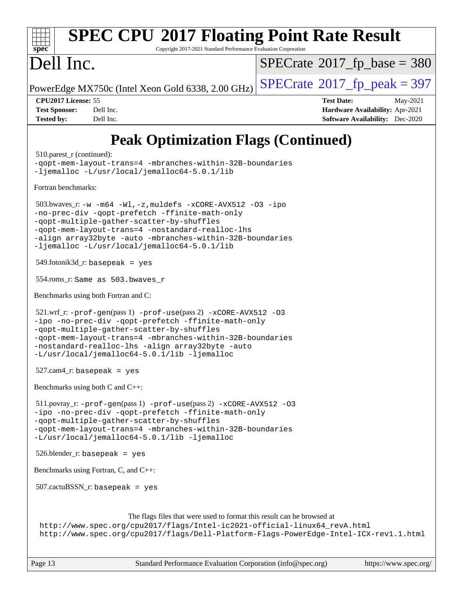## **[spec](http://www.spec.org/) [SPEC CPU](http://www.spec.org/auto/cpu2017/Docs/result-fields.html#SPECCPU2017FloatingPointRateResult)[2017 Floating Point Rate Result](http://www.spec.org/auto/cpu2017/Docs/result-fields.html#SPECCPU2017FloatingPointRateResult)** Copyright 2017-2021 Standard Performance Evaluation Corporation Dell Inc. PowerEdge MX750c (Intel Xeon Gold 6338, 2.00 GHz)  $\left|$  [SPECrate](http://www.spec.org/auto/cpu2017/Docs/result-fields.html#SPECrate2017fppeak)<sup>®</sup>[2017\\_fp\\_peak = 3](http://www.spec.org/auto/cpu2017/Docs/result-fields.html#SPECrate2017fppeak)97  $SPECTate$ <sup>®</sup>[2017\\_fp\\_base =](http://www.spec.org/auto/cpu2017/Docs/result-fields.html#SPECrate2017fpbase) 380 **[CPU2017 License:](http://www.spec.org/auto/cpu2017/Docs/result-fields.html#CPU2017License)** 55 **[Test Date:](http://www.spec.org/auto/cpu2017/Docs/result-fields.html#TestDate)** May-2021 **[Test Sponsor:](http://www.spec.org/auto/cpu2017/Docs/result-fields.html#TestSponsor)** Dell Inc. **[Hardware Availability:](http://www.spec.org/auto/cpu2017/Docs/result-fields.html#HardwareAvailability)** Apr-2021 **[Tested by:](http://www.spec.org/auto/cpu2017/Docs/result-fields.html#Testedby)** Dell Inc. **[Software Availability:](http://www.spec.org/auto/cpu2017/Docs/result-fields.html#SoftwareAvailability)** Dec-2020 **[Peak Optimization Flags \(Continued\)](http://www.spec.org/auto/cpu2017/Docs/result-fields.html#PeakOptimizationFlags)** 510.parest r (continued): [-qopt-mem-layout-trans=4](http://www.spec.org/cpu2017/results/res2021q2/cpu2017-20210524-26547.flags.html#user_peakCXXOPTIMIZE510_parest_r_f-qopt-mem-layout-trans_fa39e755916c150a61361b7846f310bcdf6f04e385ef281cadf3647acec3f0ae266d1a1d22d972a7087a248fd4e6ca390a3634700869573d231a252c784941a8) [-mbranches-within-32B-boundaries](http://www.spec.org/cpu2017/results/res2021q2/cpu2017-20210524-26547.flags.html#user_peakEXTRA_CXXOPTIMIZE510_parest_r_f-mbranches-within-32B-boundaries) [-ljemalloc](http://www.spec.org/cpu2017/results/res2021q2/cpu2017-20210524-26547.flags.html#user_peakEXTRA_LIBS510_parest_r_jemalloc_link_lib_d1249b907c500fa1c0672f44f562e3d0f79738ae9e3c4a9c376d49f265a04b9c99b167ecedbf6711b3085be911c67ff61f150a17b3472be731631ba4d0471706) [-L/usr/local/jemalloc64-5.0.1/lib](http://www.spec.org/cpu2017/results/res2021q2/cpu2017-20210524-26547.flags.html#user_peakEXTRA_LIBS510_parest_r_jemalloc_link_path64_1_cc289568b1a6c0fd3b62c91b824c27fcb5af5e8098e6ad028160d21144ef1b8aef3170d2acf0bee98a8da324cfe4f67d0a3d0c4cc4673d993d694dc2a0df248b) [Fortran benchmarks](http://www.spec.org/auto/cpu2017/Docs/result-fields.html#Fortranbenchmarks): 503.bwaves\_r: [-w](http://www.spec.org/cpu2017/results/res2021q2/cpu2017-20210524-26547.flags.html#user_peakFCLD503_bwaves_r_supress_warning_66fb2c4e5c1dd10f38bdd29623979399e5ae75ae6e5453792d82ef66afed381df4a8602f92cac8d2ea0fffa7b93b4b1ccb9ecad4af01c9b2fe338b2082ae3859) [-m64](http://www.spec.org/cpu2017/results/res2021q2/cpu2017-20210524-26547.flags.html#user_peakFCLD503_bwaves_r_m64-icc) [-Wl,-z,muldefs](http://www.spec.org/cpu2017/results/res2021q2/cpu2017-20210524-26547.flags.html#user_peakEXTRA_LDFLAGS503_bwaves_r_link_force_multiple1_b4cbdb97b34bdee9ceefcfe54f4c8ea74255f0b02a4b23e853cdb0e18eb4525ac79b5a88067c842dd0ee6996c24547a27a4b99331201badda8798ef8a743f577) [-xCORE-AVX512](http://www.spec.org/cpu2017/results/res2021q2/cpu2017-20210524-26547.flags.html#user_peakFOPTIMIZE503_bwaves_r_f-xCORE-AVX512) [-O3](http://www.spec.org/cpu2017/results/res2021q2/cpu2017-20210524-26547.flags.html#user_peakFOPTIMIZE503_bwaves_r_f-O3) [-ipo](http://www.spec.org/cpu2017/results/res2021q2/cpu2017-20210524-26547.flags.html#user_peakFOPTIMIZE503_bwaves_r_f-ipo) [-no-prec-div](http://www.spec.org/cpu2017/results/res2021q2/cpu2017-20210524-26547.flags.html#user_peakFOPTIMIZE503_bwaves_r_f-no-prec-div) [-qopt-prefetch](http://www.spec.org/cpu2017/results/res2021q2/cpu2017-20210524-26547.flags.html#user_peakFOPTIMIZE503_bwaves_r_f-qopt-prefetch) [-ffinite-math-only](http://www.spec.org/cpu2017/results/res2021q2/cpu2017-20210524-26547.flags.html#user_peakFOPTIMIZE503_bwaves_r_f_finite_math_only_cb91587bd2077682c4b38af759c288ed7c732db004271a9512da14a4f8007909a5f1427ecbf1a0fb78ff2a814402c6114ac565ca162485bbcae155b5e4258871) [-qopt-multiple-gather-scatter-by-shuffles](http://www.spec.org/cpu2017/results/res2021q2/cpu2017-20210524-26547.flags.html#user_peakFOPTIMIZE503_bwaves_r_f-qopt-multiple-gather-scatter-by-shuffles) [-qopt-mem-layout-trans=4](http://www.spec.org/cpu2017/results/res2021q2/cpu2017-20210524-26547.flags.html#user_peakFOPTIMIZE503_bwaves_r_f-qopt-mem-layout-trans_fa39e755916c150a61361b7846f310bcdf6f04e385ef281cadf3647acec3f0ae266d1a1d22d972a7087a248fd4e6ca390a3634700869573d231a252c784941a8) [-nostandard-realloc-lhs](http://www.spec.org/cpu2017/results/res2021q2/cpu2017-20210524-26547.flags.html#user_peakEXTRA_FOPTIMIZE503_bwaves_r_f_2003_std_realloc_82b4557e90729c0f113870c07e44d33d6f5a304b4f63d4c15d2d0f1fab99f5daaed73bdb9275d9ae411527f28b936061aa8b9c8f2d63842963b95c9dd6426b8a) [-align array32byte](http://www.spec.org/cpu2017/results/res2021q2/cpu2017-20210524-26547.flags.html#user_peakEXTRA_FOPTIMIZE503_bwaves_r_align_array32byte_b982fe038af199962ba9a80c053b8342c548c85b40b8e86eb3cc33dee0d7986a4af373ac2d51c3f7cf710a18d62fdce2948f201cd044323541f22fc0fffc51b6) [-auto](http://www.spec.org/cpu2017/results/res2021q2/cpu2017-20210524-26547.flags.html#user_peakEXTRA_FOPTIMIZE503_bwaves_r_f-auto) [-mbranches-within-32B-boundaries](http://www.spec.org/cpu2017/results/res2021q2/cpu2017-20210524-26547.flags.html#user_peakEXTRA_FOPTIMIZE503_bwaves_r_f-mbranches-within-32B-boundaries) [-ljemalloc](http://www.spec.org/cpu2017/results/res2021q2/cpu2017-20210524-26547.flags.html#user_peakEXTRA_LIBS503_bwaves_r_jemalloc_link_lib_d1249b907c500fa1c0672f44f562e3d0f79738ae9e3c4a9c376d49f265a04b9c99b167ecedbf6711b3085be911c67ff61f150a17b3472be731631ba4d0471706) [-L/usr/local/jemalloc64-5.0.1/lib](http://www.spec.org/cpu2017/results/res2021q2/cpu2017-20210524-26547.flags.html#user_peakEXTRA_LIBS503_bwaves_r_jemalloc_link_path64_1_cc289568b1a6c0fd3b62c91b824c27fcb5af5e8098e6ad028160d21144ef1b8aef3170d2acf0bee98a8da324cfe4f67d0a3d0c4cc4673d993d694dc2a0df248b) 549.fotonik3d\_r: basepeak = yes 554.roms\_r: Same as 503.bwaves\_r [Benchmarks using both Fortran and C](http://www.spec.org/auto/cpu2017/Docs/result-fields.html#BenchmarksusingbothFortranandC): 521.wrf\_r: [-prof-gen](http://www.spec.org/cpu2017/results/res2021q2/cpu2017-20210524-26547.flags.html#user_peakPASS1_CFLAGSPASS1_FFLAGSPASS1_LDFLAGS521_wrf_r_prof_gen_5aa4926d6013ddb2a31985c654b3eb18169fc0c6952a63635c234f711e6e63dd76e94ad52365559451ec499a2cdb89e4dc58ba4c67ef54ca681ffbe1461d6b36)(pass 1) [-prof-use](http://www.spec.org/cpu2017/results/res2021q2/cpu2017-20210524-26547.flags.html#user_peakPASS2_CFLAGSPASS2_FFLAGSPASS2_LDFLAGS521_wrf_r_prof_use_1a21ceae95f36a2b53c25747139a6c16ca95bd9def2a207b4f0849963b97e94f5260e30a0c64f4bb623698870e679ca08317ef8150905d41bd88c6f78df73f19)(pass 2) [-xCORE-AVX512](http://www.spec.org/cpu2017/results/res2021q2/cpu2017-20210524-26547.flags.html#user_peakCOPTIMIZE521_wrf_r_f-xCORE-AVX512) [-O3](http://www.spec.org/cpu2017/results/res2021q2/cpu2017-20210524-26547.flags.html#user_peakCOPTIMIZE521_wrf_r_f-O3) [-ipo](http://www.spec.org/cpu2017/results/res2021q2/cpu2017-20210524-26547.flags.html#user_peakCOPTIMIZE521_wrf_r_f-ipo) [-no-prec-div](http://www.spec.org/cpu2017/results/res2021q2/cpu2017-20210524-26547.flags.html#user_peakCOPTIMIZE521_wrf_r_f-no-prec-div) [-qopt-prefetch](http://www.spec.org/cpu2017/results/res2021q2/cpu2017-20210524-26547.flags.html#user_peakCOPTIMIZE521_wrf_r_f-qopt-prefetch) [-ffinite-math-only](http://www.spec.org/cpu2017/results/res2021q2/cpu2017-20210524-26547.flags.html#user_peakCOPTIMIZE521_wrf_r_f_finite_math_only_cb91587bd2077682c4b38af759c288ed7c732db004271a9512da14a4f8007909a5f1427ecbf1a0fb78ff2a814402c6114ac565ca162485bbcae155b5e4258871) [-qopt-multiple-gather-scatter-by-shuffles](http://www.spec.org/cpu2017/results/res2021q2/cpu2017-20210524-26547.flags.html#user_peakCOPTIMIZE521_wrf_r_f-qopt-multiple-gather-scatter-by-shuffles) [-qopt-mem-layout-trans=4](http://www.spec.org/cpu2017/results/res2021q2/cpu2017-20210524-26547.flags.html#user_peakCOPTIMIZE521_wrf_r_f-qopt-mem-layout-trans_fa39e755916c150a61361b7846f310bcdf6f04e385ef281cadf3647acec3f0ae266d1a1d22d972a7087a248fd4e6ca390a3634700869573d231a252c784941a8) [-mbranches-within-32B-boundaries](http://www.spec.org/cpu2017/results/res2021q2/cpu2017-20210524-26547.flags.html#user_peakEXTRA_COPTIMIZEEXTRA_FOPTIMIZE521_wrf_r_f-mbranches-within-32B-boundaries) [-nostandard-realloc-lhs](http://www.spec.org/cpu2017/results/res2021q2/cpu2017-20210524-26547.flags.html#user_peakEXTRA_FOPTIMIZE521_wrf_r_f_2003_std_realloc_82b4557e90729c0f113870c07e44d33d6f5a304b4f63d4c15d2d0f1fab99f5daaed73bdb9275d9ae411527f28b936061aa8b9c8f2d63842963b95c9dd6426b8a) [-align array32byte](http://www.spec.org/cpu2017/results/res2021q2/cpu2017-20210524-26547.flags.html#user_peakEXTRA_FOPTIMIZE521_wrf_r_align_array32byte_b982fe038af199962ba9a80c053b8342c548c85b40b8e86eb3cc33dee0d7986a4af373ac2d51c3f7cf710a18d62fdce2948f201cd044323541f22fc0fffc51b6) [-auto](http://www.spec.org/cpu2017/results/res2021q2/cpu2017-20210524-26547.flags.html#user_peakEXTRA_FOPTIMIZE521_wrf_r_f-auto) [-L/usr/local/jemalloc64-5.0.1/lib](http://www.spec.org/cpu2017/results/res2021q2/cpu2017-20210524-26547.flags.html#user_peakEXTRA_LIBS521_wrf_r_jemalloc_link_path64_1_cc289568b1a6c0fd3b62c91b824c27fcb5af5e8098e6ad028160d21144ef1b8aef3170d2acf0bee98a8da324cfe4f67d0a3d0c4cc4673d993d694dc2a0df248b) [-ljemalloc](http://www.spec.org/cpu2017/results/res2021q2/cpu2017-20210524-26547.flags.html#user_peakEXTRA_LIBS521_wrf_r_jemalloc_link_lib_d1249b907c500fa1c0672f44f562e3d0f79738ae9e3c4a9c376d49f265a04b9c99b167ecedbf6711b3085be911c67ff61f150a17b3472be731631ba4d0471706)  $527$ .cam $4$ \_r: basepeak = yes [Benchmarks using both C and C++](http://www.spec.org/auto/cpu2017/Docs/result-fields.html#BenchmarksusingbothCandCXX): 511.povray\_r: [-prof-gen](http://www.spec.org/cpu2017/results/res2021q2/cpu2017-20210524-26547.flags.html#user_peakPASS1_CFLAGSPASS1_CXXFLAGSPASS1_LDFLAGS511_povray_r_prof_gen_5aa4926d6013ddb2a31985c654b3eb18169fc0c6952a63635c234f711e6e63dd76e94ad52365559451ec499a2cdb89e4dc58ba4c67ef54ca681ffbe1461d6b36)(pass 1) [-prof-use](http://www.spec.org/cpu2017/results/res2021q2/cpu2017-20210524-26547.flags.html#user_peakPASS2_CFLAGSPASS2_CXXFLAGSPASS2_LDFLAGS511_povray_r_prof_use_1a21ceae95f36a2b53c25747139a6c16ca95bd9def2a207b4f0849963b97e94f5260e30a0c64f4bb623698870e679ca08317ef8150905d41bd88c6f78df73f19)(pass 2) [-xCORE-AVX512](http://www.spec.org/cpu2017/results/res2021q2/cpu2017-20210524-26547.flags.html#user_peakCOPTIMIZECXXOPTIMIZE511_povray_r_f-xCORE-AVX512) [-O3](http://www.spec.org/cpu2017/results/res2021q2/cpu2017-20210524-26547.flags.html#user_peakCOPTIMIZECXXOPTIMIZE511_povray_r_f-O3) [-ipo](http://www.spec.org/cpu2017/results/res2021q2/cpu2017-20210524-26547.flags.html#user_peakCOPTIMIZECXXOPTIMIZE511_povray_r_f-ipo) [-no-prec-div](http://www.spec.org/cpu2017/results/res2021q2/cpu2017-20210524-26547.flags.html#user_peakCOPTIMIZECXXOPTIMIZE511_povray_r_f-no-prec-div) [-qopt-prefetch](http://www.spec.org/cpu2017/results/res2021q2/cpu2017-20210524-26547.flags.html#user_peakCOPTIMIZECXXOPTIMIZE511_povray_r_f-qopt-prefetch) [-ffinite-math-only](http://www.spec.org/cpu2017/results/res2021q2/cpu2017-20210524-26547.flags.html#user_peakCOPTIMIZECXXOPTIMIZE511_povray_r_f_finite_math_only_cb91587bd2077682c4b38af759c288ed7c732db004271a9512da14a4f8007909a5f1427ecbf1a0fb78ff2a814402c6114ac565ca162485bbcae155b5e4258871) [-qopt-multiple-gather-scatter-by-shuffles](http://www.spec.org/cpu2017/results/res2021q2/cpu2017-20210524-26547.flags.html#user_peakCOPTIMIZECXXOPTIMIZE511_povray_r_f-qopt-multiple-gather-scatter-by-shuffles) [-qopt-mem-layout-trans=4](http://www.spec.org/cpu2017/results/res2021q2/cpu2017-20210524-26547.flags.html#user_peakCOPTIMIZECXXOPTIMIZE511_povray_r_f-qopt-mem-layout-trans_fa39e755916c150a61361b7846f310bcdf6f04e385ef281cadf3647acec3f0ae266d1a1d22d972a7087a248fd4e6ca390a3634700869573d231a252c784941a8) [-mbranches-within-32B-boundaries](http://www.spec.org/cpu2017/results/res2021q2/cpu2017-20210524-26547.flags.html#user_peakEXTRA_COPTIMIZEEXTRA_CXXOPTIMIZE511_povray_r_f-mbranches-within-32B-boundaries) [-L/usr/local/jemalloc64-5.0.1/lib](http://www.spec.org/cpu2017/results/res2021q2/cpu2017-20210524-26547.flags.html#user_peakEXTRA_LIBS511_povray_r_jemalloc_link_path64_1_cc289568b1a6c0fd3b62c91b824c27fcb5af5e8098e6ad028160d21144ef1b8aef3170d2acf0bee98a8da324cfe4f67d0a3d0c4cc4673d993d694dc2a0df248b) [-ljemalloc](http://www.spec.org/cpu2017/results/res2021q2/cpu2017-20210524-26547.flags.html#user_peakEXTRA_LIBS511_povray_r_jemalloc_link_lib_d1249b907c500fa1c0672f44f562e3d0f79738ae9e3c4a9c376d49f265a04b9c99b167ecedbf6711b3085be911c67ff61f150a17b3472be731631ba4d0471706) 526.blender\_r: basepeak = yes [Benchmarks using Fortran, C, and C++:](http://www.spec.org/auto/cpu2017/Docs/result-fields.html#BenchmarksusingFortranCandCXX) 507.cactuBSSN\_r: basepeak = yes [The flags files that were used to format this result can be browsed at](tmsearch) [http://www.spec.org/cpu2017/flags/Intel-ic2021-official-linux64\\_revA.html](http://www.spec.org/cpu2017/flags/Intel-ic2021-official-linux64_revA.html) <http://www.spec.org/cpu2017/flags/Dell-Platform-Flags-PowerEdge-Intel-ICX-rev1.1.html>